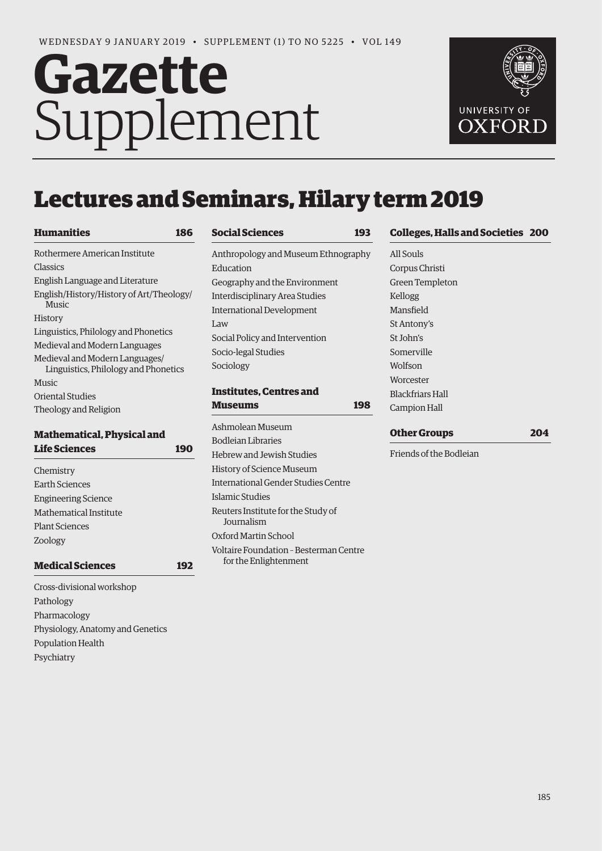# **Gazette** Supplement



# Lectures and Seminars, Hilary term 2019

| <b>Humanities</b>                                                      |
|------------------------------------------------------------------------|
| Rothermere American Institute                                          |
| Classics                                                               |
| English Language and Literature                                        |
| English/History/History of Art/Theology/<br><b>Music</b>               |
| History                                                                |
| Linguistics, Philology and Phonetics                                   |
| Medieval and Modern Languages                                          |
| Medieval and Modern Languages/<br>Linguistics, Philology and Phonetics |
| <b>Music</b>                                                           |
| Oriental Studies                                                       |
| Theology and Religion                                                  |

# **Mathematical, Physical and [Life Sciences 190](#page-5-0)**

| Chemistry                  |
|----------------------------|
| Earth Sciences             |
| <b>Engineering Science</b> |
| Mathematical Institute     |
| <b>Plant Sciences</b>      |
| Zoology                    |
|                            |

**[Medical Sciences 192](#page-7-0)**

Cross-divisional workshop Pathology Pharmacology Physiology, Anatomy and Genetics Population Health Psychiatry

| <b>Social Sciences</b>                | 193 |
|---------------------------------------|-----|
| Anthropology and Museum Ethnography   |     |
| Education                             |     |
| Geography and the Environment         |     |
| <b>Interdisciplinary Area Studies</b> |     |
| International Development             |     |
| Law                                   |     |
| Social Policy and Intervention        |     |
| Socio-legal Studies                   |     |
| Sociology                             |     |
| <b>Institutes. Centres and</b>        |     |
| Museums                               | 198 |
| Ashmolean Museum                      |     |
| <b>Bodleian Libraries</b>             |     |
| Hebrew and Jewish Studies             |     |

History of Science Museum

Islamic Studies

Journalism Oxford Martin School

International Gender Studies Centre

Voltaire Foundation – Besterman Centre

Reuters Institute for the Study of

for the Enlightenment

**[Colleges, Halls and Societies 200](#page-15-0)**

All Souls Corpus Christi Green Templeton Kellogg Mansfield St Antony's St John's Somerville Wolfson Worcester Blackfriars Hall Campion Hall

# **[Other Groups 204](#page-19-0)**

Friends of the Bodleian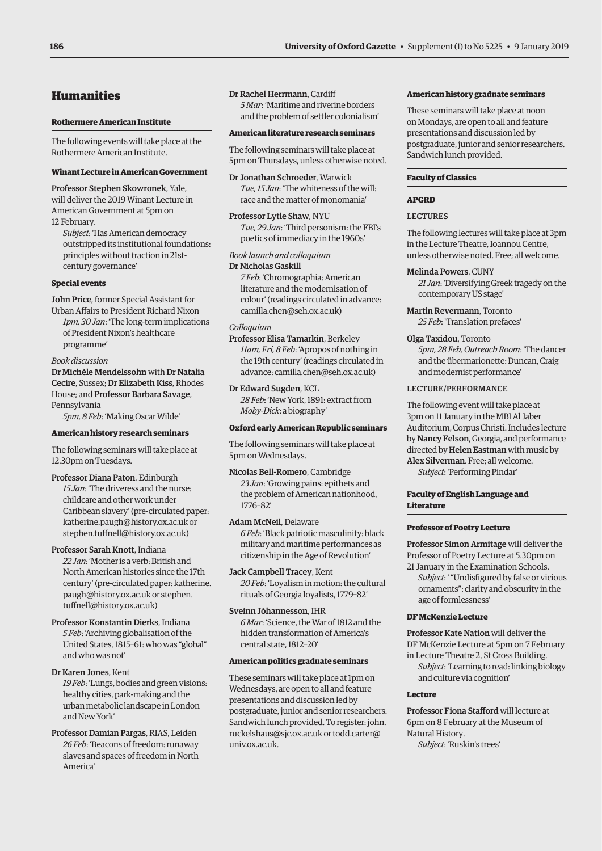# <span id="page-1-0"></span>Humanities

# **Rothermere American Institute**

The following events will take place at the Rothermere American Institute.

# **Winant Lecture in American Government**

Professor Stephen Skowronek, Yale, will deliver the 2019 Winant Lecture in American Government at 5pm on 12 February.

*Subject*: 'Has American democracy outstripped its institutional foundations: principles without traction in 21stcentury governance'

# **Special events**

John Price, former Special Assistant for Urban Affairs to President Richard Nixon *1pm, 30 Jan*: 'The long-term implications of President Nixon's healthcare programme'

# *Book discussion*

Dr Michèle Mendelssohn with Dr Natalia Cecire, Sussex; Dr Elizabeth Kiss, Rhodes House; and Professor Barbara Savage, Pennsylvania

*5pm, 8 Feb*: 'Making Oscar Wilde'

# **American history research seminars**

The following seminars will take place at 12.30pm on Tuesdays.

Professor Diana Paton, Edinburgh *15 Jan*: 'The driveress and the nurse: childcare and other work under Caribbean slavery' (pre-circulated paper: katherine.paugh@history.ox.ac.uk or stephen.tuffnell@history.ox.ac.uk)

# Professor Sarah Knott, Indiana

*22 Jan*: 'Mother is a verb: British and North American histories since the 17th century' (pre-circulated paper: katherine. paugh@history.ox.ac.uk or stephen. tuffnell@history.ox.ac.uk)

Professor Konstantin Dierks, Indiana *5 Feb*: 'Archiving globalisation of the United States, 1815–61: who was "global" and who was not'

# Dr Karen Jones, Kent

*19 Feb*: 'Lungs, bodies and green visions: healthy cities, park-making and the urban metabolic landscape in London and New York'

Professor Damian Pargas, RIAS, Leiden *26 Feb*: 'Beacons of freedom: runaway slaves and spaces of freedom in North America'

# Dr Rachel Herrmann, Cardiff

*5 Mar*: 'Maritime and riverine borders and the problem of settler colonialism'

# **American literature research seminars**

The following seminars will take place at 5pm on Thursdays, unless otherwise noted.

Dr Jonathan Schroeder, Warwick *Tue, 15 Jan*: 'The whiteness of the will: race and the matter of monomania'

Professor Lytle Shaw, NYU *Tue, 29 Jan*: 'Third personism: the FBI's poetics of immediacy in the 1960s'

# *Book launch and colloquium*

Dr Nicholas Gaskill *7 Feb*: 'Chromographia: American literature and the modernisation of colour' (readings circulated in advance: [camilla.chen@seh.ox.ac.uk\)](mailto:camilla.chen@seh.ox.ac.uk)

# *Colloquium*

Professor Elisa Tamarkin, Berkeley *11am, Fri, 8 Feb*: 'Apropos of nothing in the 19th century' (readings circulated in advance: [camilla.chen@seh.ox.ac.uk\)](mailto:camilla.chen@seh.ox.ac.uk)

Dr Edward Sugden, KCL *28 Feb*: 'New York, 1891: extract from *Moby-Dick*: a biography'

# **Oxford early American Republic seminars**

The following seminars will take place at 5pm on Wednesdays.

Nicolas Bell-Romero, Cambridge *23 Jan*: 'Growing pains: epithets and the problem of American nationhood, 1776–82'

# Adam McNeil, Delaware *6 Feb*: 'Black patriotic masculinity: black military and maritime performances as citizenship in the Age of Revolution'

Jack Campbell Tracey, Kent *20 Feb*: 'Loyalism in motion: the cultural rituals of Georgia loyalists, 1779–82'

Sveinn Jóhannesson, IHR *6 Mar*: 'Science, the War of 1812 and the hidden transformation of America's

# **American politics graduate seminars**

central state, 1812–20'

These seminars will take place at 1pm on Wednesdays, are open to all and feature presentations and discussion led by postgraduate, junior and senior researchers. Sandwich lunch provided. To register: john. [ruckelshaus@sjc.ox.ac.uk or](mailto:ruckelshaus@sjc.ox.ac.uk) [todd.carter@](mailto:todd.carter@univ.ox.ac.uk) univ.ox.ac.uk.

# **American history graduate seminars**

These seminars will take place at noon on Mondays, are open to all and feature presentations and discussion led by postgraduate, junior and senior researchers. Sandwich lunch provided.

# **Faculty of Classics**

# **APGRD**

# **LECTURES**

The following lectures will take place at 3pm in the Lecture Theatre, Ioannou Centre, unless otherwise noted. Free; all welcome.

# Melinda Powers, CUNY

*21 Jan*: 'Diversifying Greek tragedy on the contemporary US stage'

Martin Revermann, Toronto *25 Feb*: 'Translation prefaces'

# Olga Taxidou, Toronto

*5pm, 28 Feb, Outreach Room*: 'The dancer and the übermarionette: Duncan, Craig and modernist performance'

# LECTURE/PERFORMANCE

The following event will take place at 3pm on 11 January in the MBI Al Jaber Auditorium, Corpus Christi. Includes lecture by Nancy Felson, Georgia, and performance directed by Helen Eastman with music by Alex Silverman. Free; all welcome. *Subject*: 'Performing Pindar'

# **Faculty of English Language and Literature**

# **Professor of Poetry Lecture**

Professor Simon Armitage will deliver the Professor of Poetry Lecture at 5.30pm on 21 January in the Examination Schools.

*Subject*: ' "Undisfigured by false or vicious ornaments": clarity and obscurity in the age of formlessness'

# **DF McKenzie Lecture**

Professor Kate Nation will deliver the DF McKenzie Lecture at 5pm on 7 February in Lecture Theatre 2, St Cross Building.

*Subject*: 'Learning to read: linking biology and culture via cognition'

# **Lecture**

Professor Fiona Stafford will lecture at 6pm on 8 February at the Museum of Natural History. *Subject*: 'Ruskin's trees'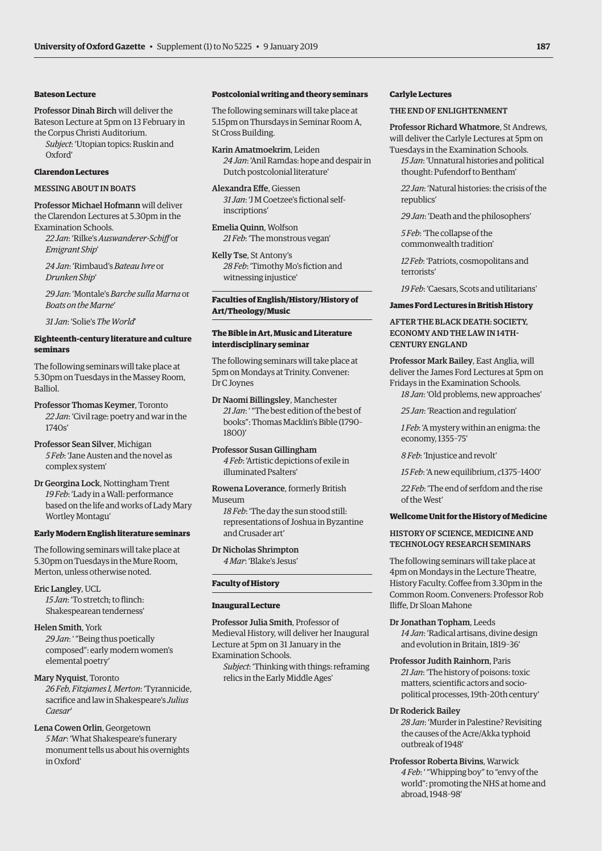# **Bateson Lecture**

Professor Dinah Birch will deliver the Bateson Lecture at 5pm on 13 February in the Corpus Christi Auditorium.

*Subject*: 'Utopian topics: Ruskin and Oxford'

# **Clarendon Lectures**

# MESSING AROUT IN BOATS

Professor Michael Hofmann will deliver the Clarendon Lectures at 5.30pm in the Examination Schools.

*22 Jan*: 'Rilke's *Auswanderer-Schiff* or *Emigrant Ship*'

*24 Jan*: 'Rimbaud's *Bateau Ivre* or *Drunken Ship*'

*29 Jan*: 'Montale's *Barche sulla Marna* or *Boats on the Marne*'

*31 Jan*: 'Solie's *The World*'

# **Eighteenth-century literature and culture seminars**

The following seminars will take place at 5.30pm on Tuesdays in the Massey Room, **Balliol** 

Professor Thomas Keymer, Toronto *22 Jan*: 'Civil rage: poetry and war in the 1740s'

Professor Sean Silver, Michigan *5 Feb*: 'Jane Austen and the novel as complex system'

Dr Georgina Lock, Nottingham Trent *19 Feb*: 'Lady in a Wall: performance based on the life and works of Lady Mary Wortley Montagu'

# **Early Modern English literature seminars**

The following seminars will take place at 5.30pm on Tuesdays in the Mure Room, Merton, unless otherwise noted.

Eric Langley, UCL *15 Jan*: 'To stretch; to flinch: Shakespearean tenderness'

# Helen Smith, York

*29 Jan*: ' "Being thus poetically composed": early modern women's elemental poetry'

# Mary Nyquist, Toronto

*26 Feb, Fitzjames I, Merton*: 'Tyrannicide, sacrifice and law in Shakespeare's *Julius Caesar*'

# Lena Cowen Orlin, Georgetown

*5 Mar*: 'What Shakespeare's funerary monument tells us about his overnights in Oxford'

# **Postcolonial writing and theory seminars**

The following seminars will take place at 5.15pm on Thursdays in Seminar Room A, St Cross Building.

Karin Amatmoekrim, Leiden *24 Jan*: 'Anil Ramdas: hope and despair in Dutch postcolonial literature'

Alexandra Effe, Giessen *31 Jan*: 'J M Coetzee's fictional selfinscriptions'

Emelia Quinn, Wolfson *21 Feb*: 'The monstrous vegan'

Kelly Tse, St Antony's *28 Feb*: 'Timothy Mo's fiction and witnessing injustice'

# **Faculties of English/History/History of Art/Theology/Music**

# **The Bible in Art, Music and Literature interdisciplinary seminar**

The following seminars will take place at 5pm on Mondays at Trinity. Convener: Dr C Joynes

Dr Naomi Billingsley, Manchester *21 Jan*: ' "The best edition of the best of books": Thomas Macklin's Bible (1790– 1800)'

Professor Susan Gillingham *4 Feb*: 'Artistic depictions of exile in illuminated Psalters'

# Rowena Loverance, formerly British

Museum

*18 Feb*: 'The day the sun stood still: representations of Joshua in Byzantine and Crusader art'

Dr Nicholas Shrimpton *4 Mar*: 'Blake's Jesus'

# **Faculty of History**

# **Inaugural Lecture**

Professor Julia Smith, Professor of Medieval History, will deliver her Inaugural Lecture at 5pm on 31 January in the Examination Schools.

*Subject*: 'Thinking with things: reframing relics in the Early Middle Ages'

# **Carlyle Lectures**

# THE END OF ENLIGHTENMENT

Professor Richard Whatmore, St Andrews, will deliver the Carlyle Lectures at 5pm on

Tuesdays in the Examination Schools. *15 Jan*: 'Unnatural histories and political thought: Pufendorf to Bentham'

*22 Jan*: 'Natural histories: the crisis of the republics'

*29 Jan*: 'Death and the philosophers'

*5 Feb*: 'The collapse of the commonwealth tradition'

*12 Feb*: 'Patriots, cosmopolitans and terrorists'

*19 Feb*: 'Caesars, Scots and utilitarians'

# **James Ford Lectures in British History**

# AFTER THE BLACK DEATH: SOCIETY, ECONOMY AND THE LAW IN 14TH-CENTURY ENGLAND

Professor Mark Bailey, East Anglia, will deliver the James Ford Lectures at 5pm on Fridays in the Examination Schools. *18 Jan*: 'Old problems, new approaches'

*25 Jan*: 'Reaction and regulation'

*1 Feb*: 'A mystery within an enigma: the economy, 1355–75'

*8 Feb*: 'Injustice and revolt'

*15 Feb*: 'A new equilibrium, *c*1375–1400'

*22 Feb*: 'The end of serfdom and the rise of the West'

# **Wellcome Unit for the History of Medicine**

# HISTORY OF SCIENCE, MEDICINE AND TECHNOLOGY RESEARCH SEMINARS

The following seminars will take place at 4pm on Mondays in the Lecture Theatre, History Faculty. Coffee from 3.30pm in the Common Room. Conveners: Professor Rob Iliffe, Dr Sloan Mahone

Dr Jonathan Topham, Leeds *14 Jan*: 'Radical artisans, divine design and evolution in Britain, 1819–36'

Professor Judith Rainhorn, Paris *21 Jan*: 'The history of poisons: toxic matters, scientific actors and sociopolitical processes, 19th–20th century'

# Dr Roderick Bailey

*28 Jan*: 'Murder in Palestine? Revisiting the causes of the Acre/Akka typhoid outbreak of 1948'

Professor Roberta Bivins, Warwick *4 Feb*: ' "Whipping boy" to "envy of the world": promoting the NHS at home and abroad, 1948–98'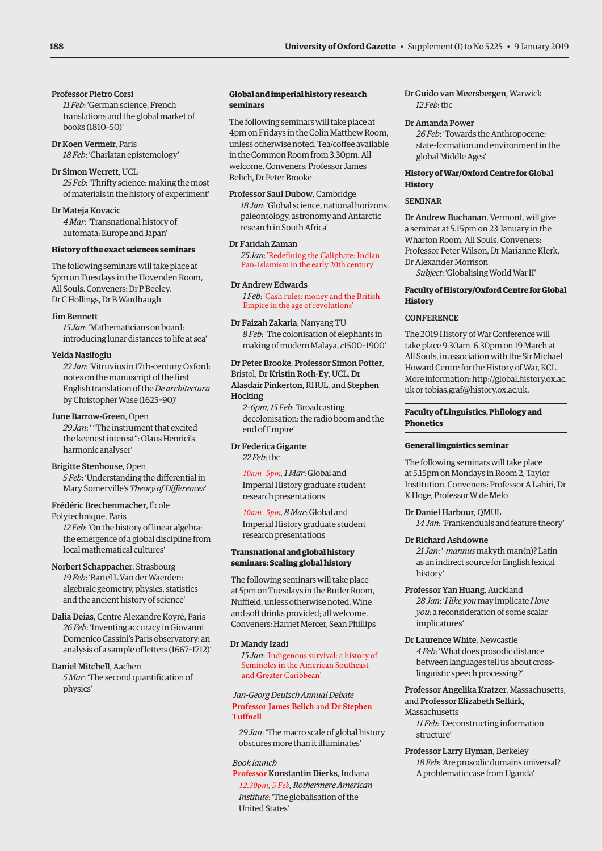# Professor Pietro Corsi

*11 Feb*: 'German science, French translations and the global market of books (1810–50)'

Dr Koen Vermeir, Paris *18 Feb*: 'Charlatan epistemology'

# Dr Simon Werrett, UCL

*25 Feb*: 'Thrifty science: making the most of materials in the history of experiment'

# Dr Mateja Kovacic

*4 Mar*: 'Transnational history of automata: Europe and Japan'

# **History of the exact sciences seminars**

The following seminars will take place at 5pm on Tuesdays in the Hovenden Room, All Souls. Conveners: Dr P Beeley, Dr C Hollings, Dr B Wardhaugh

# Jim Bennett

*15 Jan*: 'Mathematicians on board: introducing lunar distances to life at sea'

# Yelda Nasifoglu

*22 Jan*: 'Vitruvius in 17th-century Oxford: notes on the manuscript of the first English translation of the *De architectura* by Christopher Wase (1625–90)'

# June Barrow-Green, Open

*29 Jan*: ' "The instrument that excited the keenest interest": Olaus Henrici's harmonic analyser'

# Brigitte Stenhouse, Open

*5 Feb*: 'Understanding the differential in Mary Somerville's *Theory of Differences*'

# Frédéric Brechenmacher, École

Polytechnique, Paris *12 Feb*: 'On the history of linear algebra: the emergence of a global discipline from local mathematical cultures'

Norbert Schappacher, Strasbourg *19 Feb*: 'Bartel L Van der Waerden: algebraic geometry, physics, statistics and the ancient history of science'

Dalia Deias, Centre Alexandre Koyré, Paris *26 Feb*: 'Inventing accuracy in Giovanni Domenico Cassini's Paris observatory: an analysis of a sample of letters (1667–1712)'

# Daniel Mitchell, Aachen *5 Mar*: 'The second quantification of physics'

# **Global and imperial history research seminars**

The following seminars will take place at 4pm on Fridays in the Colin Matthew Room, unless otherwise noted. Tea/coffee available in the Common Room from 3.30pm. All welcome. Conveners: Professor James Belich, Dr Peter Brooke

# Professor Saul Dubow, Cambridge

*18 Jan*: 'Global science, national horizons: paleontology, astronomy and Antarctic research in South Africa'

### Dr Faridah Zaman

*25 Jan*: 'Redefining the Caliphate: Indian Pan-Islamism in the early 20th century'

# Dr Andrew Edwards

*1 Feb*: 'Cash rules: money and the British Empire in the age of revolutions'

# Dr Faizah Zakaria, Nanyang TU *8 Feb*: 'The colonisation of elephants in making of modern Malaya, *c*1500–1900'

# Dr Peter Brooke, Professor Simon Potter, Bristol, Dr Kristin Roth-Ey, UCL, Dr Alasdair Pinkerton, RHUL, and Stephen **Hocking**

*2–6pm, 15 Feb*: 'Broadcasting decolonisation: the radio boom and the end of Empire'

# Dr Federica Gigante *22 Feb*: tbc

*10am–5pm, 1 Mar*: Global and Imperial History graduate student research presentations

*10am–5pm, 8 Mar*: Global and Imperial History graduate student research presentations

# **Transnational and global history seminars: Scaling global history**

The following seminars will take place at 5pm on Tuesdays in the Butler Room, Nuffield, unless otherwise noted. Wine and soft drinks provided; all welcome. Conveners: Harriet Mercer, Sean Phillips

# Dr Mandy Izadi

*15 Jan*: 'Indigenous survival: a history of Seminoles in the American Southeast and Greater Caribbean'

# *Jan-Georg Deutsch Annual Debate* **Professor James Belich** and **Dr Stephen Tuffnell**

*29 Jan*: 'The macro scale of global history obscures more than it illuminates'

# *Book launch*

**Professor** Konstantin Dierks, Indiana *12.30pm, 5 Feb, Rothermere American Institute*: 'The globalisation of the United States'

Dr Guido van Meersbergen, Warwick *12 Feb*: tbc

# Dr Amanda Power

*26 Feb*: 'Towards the Anthropocene: state-formation and environment in the global Middle Ages'

# **History of War/Oxford Centre for Global History**

# SEMINAR

Dr Andrew Buchanan, Vermont, will give a seminar at 5.15pm on 23 January in the Wharton Room, All Souls. Conveners: Professor Peter Wilson, Dr Marianne Klerk, Dr Alexander Morrison

*Subject*: 'Globalising World War II'

# **Faculty of History/Oxford Centre for Global History**

# **CONFERENCE**

The 2019 History of War Conference will take place 9.30am[–6.30pm on 19 March at](http://global.history.ox.ac.uk)  All So[uls, in association with the Sir M](mailto:tobias.graf@history.ox.ac.uk)ichael Howard Centre for the History of War, KCL. More information: http://global.history.ox.ac. uk or tobias.graf@history.ox.ac.uk.

# **Faculty of Linguistics, Philology and Phonetics**

# **General linguistics seminar**

The following seminars will take place at 5.15pm on Mondays in Room 2, Taylor Institution. Conveners: Professor A Lahiri, Dr K Hoge, Professor W de Melo

# Dr Daniel Harbour, QMUL

*14 Jan*: 'Frankenduals and feature theory'

# Dr Richard Ashdowne

*21 Jan*: '*-mannus* makyth man(n)? Latin as an indirect source for English lexical history'

- Professor Yan Huang, Auckland *28 Jan*: '*I like you* may implicate *I love you*: a reconsideration of some scalar implicatures'
- Dr Laurence White, Newcastle *4 Feb*: 'What does prosodic distance between languages tell us about crosslinguistic speech processing?'

Professor Angelika Kratzer, Massachusetts, and Professor Elizabeth Selkirk, Massachusetts

*11 Feb*: 'Deconstructing information structure'

Professor Larry Hyman, Berkeley *18 Feb*: 'Are prosodic domains universal? A problematic case from Uganda'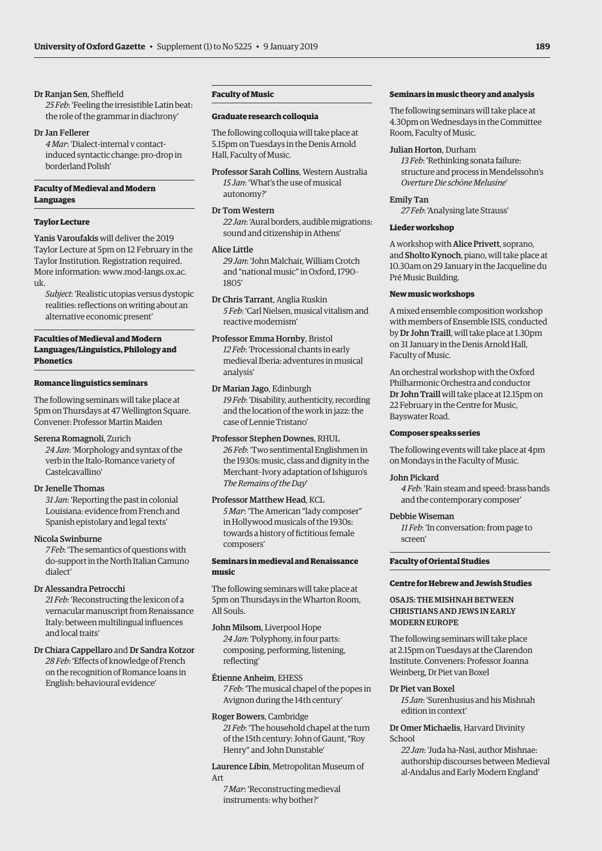# Dr Ranjan Sen, Sheffield

*25 Feb*: 'Feeling the irresistible Latin beat: the role of the grammar in diachrony'

# Dr Jan Fellerer

*4 Mar*: 'Dialect-internal v contactinduced syntactic change: pro-drop in borderland Polish'

# **Faculty of Medieval and Modern Languages**

# **Taylor Lecture**

Yanis Varoufakis will deliver the 2019 Taylor Lecture at 5pm on 12 February in the Taylor Institution. Registration required. [More information: www.mod-langs.ox.ac.](https://www.mod-langs.ox.ac.uk/) uk.

*Subject*: 'Realistic utopias versus dystopic realities: reflections on writing about an alternative economic present'

# **Faculties of Medieval and Modern Languages/Linguistics, Philology and Phonetics**

# **Romance linguistics seminars**

The following seminars will take place at 5pm on Thursdays at 47 Wellington Square. Convener: Professor Martin Maiden

# Serena Romagnoli, Zurich

*24 Jan*: 'Morphology and syntax of the verb in the Italo-Romance variety of Castelcavallino'

# Dr Jenelle Thomas

*31 Jan*: 'Reporting the past in colonial Louisiana: evidence from French and Spanish epistolary and legal texts'

# Nicola Swinburne

*7 Feb*: 'The semantics of questions with do-support in the North Italian Camuno dialect'

# Dr Alessandra Petrocchi

*21 Feb*: 'Reconstructing the lexicon of a vernacular manuscript from Renaissance Italy: between multilingual influences and local traits'

# Dr Chiara Cappellaro and Dr Sandra Kotzor *28 Feb*: 'Effects of knowledge of French on the recognition of Romance loans in English: behavioural evidence'

# **Faculty of Music**

# **Graduate research colloquia**

The following colloquia will take place at 5.15pm on Tuesdays in the Denis Arnold Hall, Faculty of Music.

Professor Sarah Collins, Western Australia *15 Jan*: 'What's the use of musical autonomy?'

# Dr Tom Western

*22 Jan*: 'Aural borders, audible migrations: sound and citizenship in Athens'

# Alice Little

*29 Jan*: 'John Malchair, William Crotch and "national music" in Oxford, 1790– 1805'

Dr Chris Tarrant, Anglia Ruskin *5 Feb*: 'Carl Nielsen, musical vitalism and reactive modernism'

Professor Emma Hornby, Bristol *12 Feb*: 'Processional chants in early medieval Iberia: adventures in musical analysis'

Dr Marian Jago, Edinburgh *19 Feb*: 'Disability, authenticity, recording and the location of the work in jazz: the case of Lennie Tristano'

Professor Stephen Downes, RHUL *26 Feb*: 'Two sentimental Englishmen in the 1930s: music, class and dignity in the Merchant–Ivory adaptation of Ishiguro's *The Remains of the Day*'

# Professor Matthew Head, KCL

*5 Mar*: 'The American "lady composer" in Hollywood musicals of the 1930s: towards a history of fictitious female composers'

# **Seminars in medieval and Renaissance music**

The following seminars will take place at 5pm on Thursdays in the Wharton Room, All Souls.

- John Milsom, Liverpool Hope *24 Jan*: 'Polyphony, in four parts: composing, performing, listening, reflecting'
- Étienne Anheim, EHESS *7 Feb*: 'The musical chapel of the popes in Avignon during the 14th century'

Roger Bowers, Cambridge *21 Feb*: 'The household chapel at the turn of the 15th century: John of Gaunt, "Roy Henry" and John Dunstable'

Laurence Libin, Metropolitan Museum of Art

*7 Mar*: 'Reconstructing medieval instruments: why bother?'

# **Seminars in music theory and analysis**

The following seminars will take place at 4.30pm on Wednesdays in the Committee Room, Faculty of Music.

# Julian Horton, Durham

*13 Feb*: 'Rethinking sonata failure: structure and process in Mendelssohn's *Overture Die schöne Melusine*'

# Emily Tan

*27 Feb*: 'Analysing late Strauss'

# **Lieder workshop**

A workshop with Alice Privett, soprano, and Sholto Kynoch, piano, will take place at 10.30am on 29 January in the Jacqueline du Pré Music Building.

# **New music workshops**

A mixed ensemble composition workshop with members of Ensemble ISIS, conducted by Dr John Traill, will take place at 1.30pm on 31 January in the Denis Arnold Hall, Faculty of Music.

An orchestral workshop with the Oxford Philharmonic Orchestra and conductor Dr John Traill will take place at 12.15pm on 22 February in the Centre for Music, Bayswater Road.

# **Composer speaks series**

The following events will take place at 4pm on Mondays in the Faculty of Music.

# John Pickard

*4 Feb*: 'Rain steam and speed: brass bands and the contemporary composer'

# Debbie Wiseman

*11 Feb*: 'In conversation: from page to screen'

# **Faculty of Oriental Studies**

### **Centre for Hebrew and Jewish Studies**

OSAJS: THE MISHNAH BETWEEN CHRISTIANS AND JEWS IN EARLY MODERN EUROPE

The following seminars will take place at 2.15pm on Tuesdays at the Clarendon Institute. Conveners: Professor Joanna Weinberg, Dr Piet van Boxel

### Dr Piet van Boxel

*15 Jan*: 'Surenhusius and his Mishnah edition in context'

Dr Omer Michaelis, Harvard Divinity School

*22 Jan*: 'Juda ha-Nasi, author Mishnae: authorship discourses between Medieval al-Andalus and Early Modern England'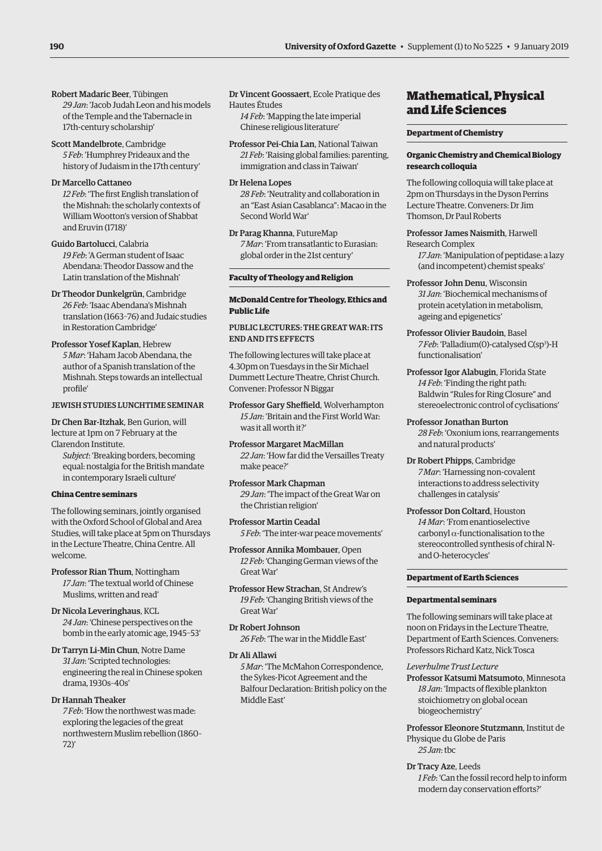- <span id="page-5-0"></span>Robert Madaric Beer, Tübingen *29 Jan*: 'Jacob Judah Leon and his models of the Temple and the Tabernacle in 17th-century scholarship'
- Scott Mandelbrote, Cambridge *5 Feb*: 'Humphrey Prideaux and the history of Judaism in the 17th century'

# Dr Marcello Cattaneo

*12 Feb*: 'The first English translation of the Mishnah: the scholarly contexts of William Wootton's version of Shabbat and Eruvin (1718)'

- Guido Bartolucci, Calabria *19 Feb*: 'A German student of Isaac Abendana: Theodor Dassow and the Latin translation of the Mishnah'
- Dr Theodor Dunkelgrün, Cambridge *26 Feb*: 'Isaac Abendana's Mishnah translation (1663–76) and Judaic studies in Restoration Cambridge'
- Professor Yosef Kaplan, Hebrew *5 Mar*: 'Haham Jacob Abendana, the author of a Spanish translation of the Mishnah. Steps towards an intellectual profile'

# JEWISH STUDIES LUNCHTIME SEMINAR

Dr Chen Bar-Itzhak, Ben Gurion, will lecture at 1pm on 7 February at the Clarendon Institute.

*Subject*: 'Breaking borders, becoming equal: nostalgia for the British mandate in contemporary Israeli culture'

# **China Centre seminars**

The following seminars, jointly organised with the Oxford School of Global and Area Studies, will take place at 5pm on Thursdays in the Lecture Theatre, China Centre. All welcome.

Professor Rian Thum, Nottingham *17 Jan*: 'The textual world of Chinese Muslims, written and read'

Dr Nicola Leveringhaus, KCL *24 Jan*: 'Chinese perspectives on the bomb in the early atomic age, 1945–53'

Dr Tarryn Li-Min Chun, Notre Dame *31 Jan*: 'Scripted technologies: engineering the real in Chinese spoken drama, 1930s–40s'

Dr Hannah Theaker *7 Feb*: 'How the northwest was made: exploring the legacies of the great northwestern Muslim rebellion (1860–  $72'$ 

Dr Vincent Goossaert, Ecole Pratique des Hautes Études

*14 Feb*: 'Mapping the late imperial Chinese religious literature'

Professor Pei-Chia Lan, National Taiwan *21 Feb*: 'Raising global families: parenting, immigration and class in Taiwan'

Dr Helena Lopes *28 Feb*: 'Neutrality and collaboration in an "East Asian Casablanca": Macao in the Second World War'

Dr Parag Khanna, FutureMap *7 Mar*: 'From transatlantic to Eurasian: global order in the 21st century'

# **Faculty of Theology and Religion**

# **McDonald Centre for Theology, Ethics and Public Life**

PUBLIC LECTURES: THE GREAT WAR: ITS END AND ITS EFFECTS

The following lectures will take place at 4.30pm on Tuesdays in the Sir Michael Dummett Lecture Theatre, Christ Church. Convener: Professor N Biggar

Professor Gary Sheffield, Wolverhampton *15 Jan*: 'Britain and the First World War: was it all worth it?'

Professor Margaret MacMillan *22 Jan*: 'How far did the Versailles Treaty make peace?'

Professor Mark Chapman *29 Jan*: 'The impact of the Great War on the Christian religion'

Professor Martin Ceadal *5 Feb*: 'The inter-war peace movements'

Professor Annika Mombauer, Open *12 Feb*: 'Changing German views of the Great War'

Professor Hew Strachan, St Andrew's *19 Feb*: 'Changing British views of the Great War'

- Dr Robert Johnson *26 Feb*: 'The war in the Middle East'
- Dr Ali Allawi

*5 Mar*: 'The McMahon Correspondence, the Sykes-Picot Agreement and the Balfour Declaration: British policy on the Middle East'

# Mathematical, Physical and Life Sciences

# **Department of Chemistry**

# **Organic Chemistry and Chemical Biology research colloquia**

The following colloquia will take place at 2pm on Thursdays in the Dyson Perrins Lecture Theatre. Conveners: Dr Jim Thomson, Dr Paul Roberts

# Professor James Naismith, Harwell Research Complex

*17 Jan*: 'Manipulation of peptidase: a lazy (and incompetent) chemist speaks'

- Professor John Denu, Wisconsin *31 Jan*: 'Biochemical mechanisms of protein acetylation in metabolism, ageing and epigenetics'
- Professor Olivier Baudoin, Basel 7 Feb: 'Palladium(0)-catalysed C(sp<sup>3</sup>)-H functionalisation'
- Professor Igor Alabugin, Florida State *14 Feb*: 'Finding the right path: Baldwin "Rules for Ring Closure" and stereoelectronic control of cyclisations'

Professor Jonathan Burton *28 Feb*: 'Oxonium ions, rearrangements and natural products'

- Dr Robert Phipps, Cambridge *7 Mar*: 'Harnessing non-covalent interactions to address selectivity challenges in catalysis'
- Professor Don Coltard, Houston *14 Mar*: 'From enantioselective carbonyl  $\alpha$ -functionalisation to the stereocontrolled synthesis of chiral Nand O-heterocycles'

# **Department of Earth Sciences**

# **Departmental seminars**

The following seminars will take place at noon on Fridays in the Lecture Theatre, Department of Earth Sciences. Conveners: Professors Richard Katz, Nick Tosca

# *Leverhulme Trust Lecture*

Professor Katsumi Matsumoto, Minnesota *18 Jan*: 'Impacts of flexible plankton stoichiometry on global ocean biogeochemistry'

Professor Eleonore Stutzmann, Institut de Physique du Globe de Paris *25 Jan*: tbc

- Dr Tracy Aze, Leeds
	- *1 Feb*: 'Can the fossil record help to inform modern day conservation efforts?'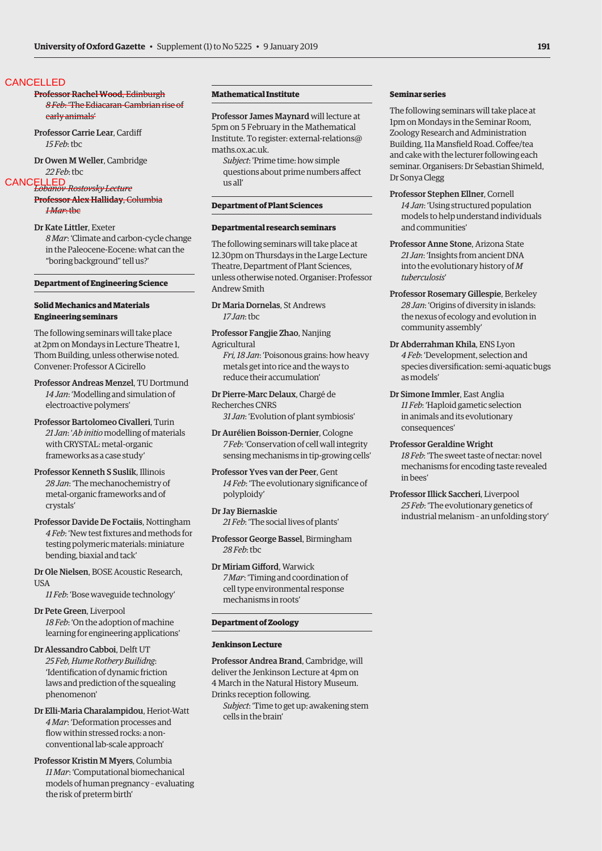# **CANCELLED**

# Professor Rachel Wood, Edinburgh *8 Feb*: 'The Ediacaran-Cambrian rise of early animals'

Professor Carrie Lear, Cardiff *15 Feb*: tbc

Dr Owen M Weller, Cambridge *22 Feb*: tbc

# *Lobanov-Rostovsky Lecture*  CANCELLED

Professor Alex Halliday, Columbia *1 Mar*: tbc

Dr Kate Littler, Exeter *8 Mar*: 'Climate and carbon-cycle change in the Paleocene-Eocene: what can the "boring background" tell us?'

# **Department of Engineering Science**

# **Solid Mechanics and Materials Engineering seminars**

The following seminars will take place at 2pm on Mondays in Lecture Theatre 1, Thom Building, unless otherwise noted. Convener: Professor A Cicirello

- Professor Andreas Menzel, TU Dortmund *14 Jan*: 'Modelling and simulation of electroactive polymers'
- Professor Bartolomeo Civalleri, Turin *21 Jan*: '*Ab initio* modelling of materials with CRYSTAL: metal-organic frameworks as a case study'
- Professor Kenneth S Suslik, Illinois *28 Jan*: 'The mechanochemistry of metal-organic frameworks and of crystals'
- Professor Davide De Foctaiis, Nottingham *4 Feb*: 'New test fixtures and methods for testing polymeric materials: miniature bending, biaxial and tack'

Dr Ole Nielsen, BOSE Acoustic Research, **USA** 

*11 Feb*: 'Bose waveguide technology'

Dr Pete Green, Liverpool *18 Feb*: 'On the adoption of machine learning for engineering applications'

Dr Alessandro Cabboi, Delft UT *25 Feb, Hume Rothery Builidng*: 'Identification of dynamic friction laws and prediction of the squealing phenomenon'

Dr Elli-Maria Charalampidou, Heriot-Watt *4 Mar*: 'Deformation processes and flow within stressed rocks: a nonconventional lab-scale approach'

Professor Kristin M Myers, Columbia *11 Mar*: 'Computational biomechanical models of human pregnancy – evaluating the risk of preterm birth'

# **Mathematical Institute**

Professor James Maynard will lecture at 5pm on 5 February in the Mathematical [Institute. To register: external-relations@](mailto:external-relations@maths.ox.ac.uk) maths.ox.ac.uk.

*Subject*: 'Prime time: how simple questions about prime numbers affect us all'

# **Department of Plant Sciences**

# **Departmental research seminars**

The following seminars will take place at 12.30pm on Thursdays in the Large Lecture Theatre, Department of Plant Sciences, unless otherwise noted. Organiser: Professor Andrew Smith

Dr Maria Dornelas, St Andrews *17 Jan*: tbc

Professor Fangjie Zhao, Nanjing Agricultural *Fri, 18 Jan*: 'Poisonous grains: how heavy metals get into rice and the ways to

reduce their accumulation' Dr Pierre-Marc Delaux, Chargé de

Recherches CNRS *31 Jan*: 'Evolution of plant symbiosis'

Dr Aurélien Boisson-Dernier, Cologne *7 Feb*: 'Conservation of cell wall integrity sensing mechanisms in tip-growing cells'

Professor Yves van der Peer, Gent *14 Feb*: 'The evolutionary significance of polyploidy'

Dr Jay Biernaskie *21 Feb*: 'The social lives of plants'

Professor George Bassel, Birmingham *28 Feb*: tbc

Dr Miriam Gifford, Warwick *7 Mar*: 'Timing and coordination of cell type environmental response mechanisms in roots'

# **Department of Zoology**

### **Jenkinson Lecture**

Professor Andrea Brand, Cambridge, will deliver the Jenkinson Lecture at 4pm on 4 March in the Natural History Museum. Drinks reception following.

*Subject*: 'Time to get up: awakening stem cells in the brain'

# **Seminar series**

The following seminars will take place at 1pm on Mondays in the Seminar Room, Zoology Research and Administration Building, 11a Mansfield Road. Coffee/tea and cake with the lecturer following each seminar. Organisers: Dr Sebastian Shimeld, Dr Sonya Clegg

Professor Stephen Ellner, Cornell *14 Jan*: 'Using structured population models to help understand individuals and communities'

Professor Anne Stone, Arizona State *21 Jan*: 'Insights from ancient DNA into the evolutionary history of *M tuberculosis*'

- Professor Rosemary Gillespie, Berkeley *28 Jan*: 'Origins of diversity in islands: the nexus of ecology and evolution in community assembly'
- Dr Abderrahman Khila, ENS Lyon *4 Feb*: 'Development, selection and species diversification: semi-aquatic bugs as models'
- Dr Simone Immler, East Anglia *11 Feb*: 'Haploid gametic selection in animals and its evolutionary consequences'

Professor Geraldine Wright *18 Feb*: 'The sweet taste of nectar: novel mechanisms for encoding taste revealed in bees'

Professor Illick Saccheri, Liverpool *25 Feb*: 'The evolutionary genetics of industrial melanism – an unfolding story'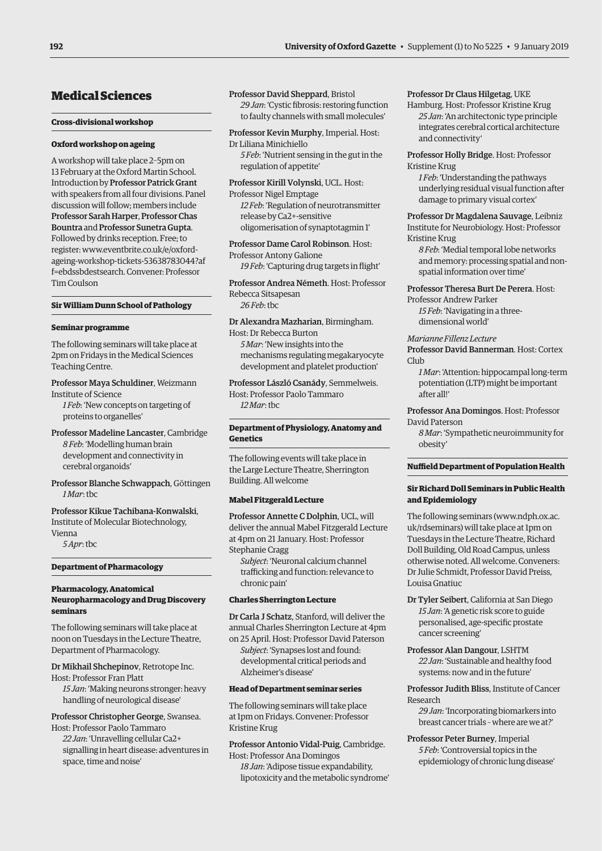# <span id="page-7-0"></span>Medical Sciences

# **Cross-divisional workshop**

# **Oxford workshop on ageing**

A workshop will take place 2–5pm on 13 February at the Oxford Martin School. Introduction by Professor Patrick Grant with speakers from all four divisions. Panel discussion will follow; members include Professor Sarah Harper, Professor Chas Bountra and Professor Sunetra Gupta. Followed by drinks reception. Free; to register: www.eventbrite.co.uk/e/oxford[ageing-workshop-tickets-53638783044?af](www.eventbrite.co.uk/e/oxford-ageing-workshop-tickets-53638783044?aff=ebdssbdestsearch) f=ebdssbdestsearch. Convener: Professor Tim Coulson

# **Sir William Dunn School of Pathology**

# **Seminar programme**

The following seminars will take place at 2pm on Fridays in the Medical Sciences Teaching Centre.

Professor Maya Schuldiner, Weizmann Institute of Science

*1 Feb*: 'New concepts on targeting of proteins to organelles'

Professor Madeline Lancaster, Cambridge *8 Feb*: 'Modelling human brain development and connectivity in cerebral organoids'

Professor Blanche Schwappach, Göttingen *1 Mar*: tbc

Professor Kikue Tachibana-Konwalski, Institute of Molecular Biotechnology, Vienna

*5 Apr*: tbc

# **Department of Pharmacology**

# **Pharmacology, Anatomical Neuropharmacology and Drug Discovery seminars**

The following seminars will take place at noon on Tuesdays in the Lecture Theatre, Department of Pharmacology.

Dr Mikhail Shchepinov, Retrotope Inc. Host: Professor Fran Platt

*15 Jan*: 'Making neurons stronger: heavy handling of neurological disease'

Professor Christopher George, Swansea. Host: Professor Paolo Tammaro

*22 Jan*: 'Unravelling cellular Ca2+ signalling in heart disease: adventures in space, time and noise'

Professor David Sheppard, Bristol *29 Jan*: 'Cystic fibrosis: restoring function to faulty channels with small molecules'

Professor Kevin Murphy, Imperial. Host: Dr Liliana Minichiello *5 Feb*: 'Nutrient sensing in the gut in the regulation of appetite'

Professor Kirill Volynski, UCL. Host: Professor Nigel Emptage

*12 Feb*: 'Regulation of neurotransmitter release by Ca2+-sensitive oligomerisation of synaptotagmin 1'

Professor Dame Carol Robinson. Host: Professor Antony Galione *19 Feb*: 'Capturing drug targets in flight'

Professor Andrea Németh. Host: Professor Rebecca Sitsapesan *26 Feb*: tbc

Dr Alexandra Mazharian, Birmingham. Host: Dr Rebecca Burton

*5 Mar*: 'New insights into the mechanisms regulating megakaryocyte development and platelet production'

Professor László Csanády, Semmelweis. Host: Professor Paolo Tammaro *12 Mar*: tbc

# **Department of Physiology, Anatomy and Genetics**

The following events will take place in the Large Lecture Theatre, Sherrington Building. All welcome

# **Mabel Fitzgerald Lecture**

Professor Annette C Dolphin, UCL, will deliver the annual Mabel Fitzgerald Lecture at 4pm on 21 January. Host: Professor Stephanie Cragg

*Subject*: 'Neuronal calcium channel trafficking and function: relevance to chronic pain'

# **Charles Sherrington Lecture**

Dr Carla J Schatz, Stanford, will deliver the annual Charles Sherrington Lecture at 4pm on 25 April. Host: Professor David Paterson

*Subject*: 'Synapses lost and found: developmental critical periods and Alzheimer's disease'

# **Head of Department seminar series**

The following seminars will take place at 1pm on Fridays. Convener: Professor Kristine Krug

Professor Antonio Vidal-Puig, Cambridge. Host: Professor Ana Domingos

*18 Jan*: 'Adipose tissue expandability, lipotoxicity and the metabolic syndrome'

# Professor Dr Claus Hilgetag, UKE

Hamburg. Host: Professor Kristine Krug *25 Jan*: 'An architectonic type principle integrates cerebral cortical architecture and connectivity'

Professor Holly Bridge. Host: Professor Kristine Krug

*1 Feb*: 'Understanding the pathways underlying residual visual function after damage to primary visual cortex'

Professor Dr Magdalena Sauvage, Leibniz Institute for Neurobiology. Host: Professor Kristine Krug

*8 Feb*: 'Medial temporal lobe networks and memory: processing spatial and nonspatial information over time'

Professor Theresa Burt De Perera. Host:

Professor Andrew Parker *15 Feb*: 'Navigating in a threedimensional world'

*Marianne Fillenz Lecture*

Professor David Bannerman. Host: Cortex Club

*1 Mar*: 'Attention: hippocampal long-term potentiation (LTP) might be important after all!'

Professor Ana Domingos. Host: Professor David Paterson

*8 Mar*: 'Sympathetic neuroimmunity for obesity'

# **Nuffield Department of Population Health**

# **Sir Richard Doll Seminars in Public Health and Epidemiology**

The following seminars ([www.ndph.ox.ac.](http://www.ndph.ox.ac.uk/rdseminars) [uk/rdseminars\) wi](http://www.ndph.ox.ac.uk/rdseminars)ll take place at 1pm on Tuesdays in the Lecture Theatre, Richard Doll Building, Old Road Campus, unless otherwise noted. All welcome. Conveners: Dr Julie Schmidt, Professor David Preiss, Louisa Gnatiuc

Dr Tyler Seibert, California at San Diego *15 Jan*: 'A genetic risk score to guide personalised, age-specific prostate cancer screening'

Professor Alan Dangour, LSHTM *22 Jan*: 'Sustainable and healthy food systems: now and in the future'

Professor Judith Bliss, Institute of Cancer Research

*29 Jan*: 'Incorporating biomarkers into breast cancer trials – where are we at?'

Professor Peter Burney, Imperial *5 Feb*: 'Controversial topics in the epidemiology of chronic lung disease'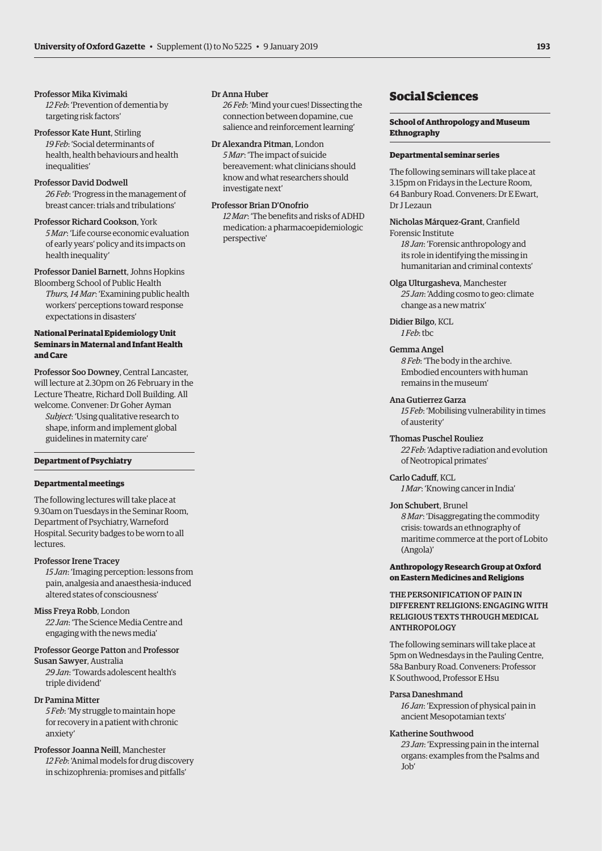# <span id="page-8-0"></span>Professor Mika Kivimaki

*12 Feb*: 'Prevention of dementia by targeting risk factors'

Professor Kate Hunt, Stirling *19 Feb*: 'Social determinants of health, health behaviours and health inequalities'

Professor David Dodwell *26 Feb*: 'Progress in the management of breast cancer: trials and tribulations'

Professor Richard Cookson, York *5 Mar*: 'Life course economic evaluation of early years' policy and its impacts on health inequality'

# Professor Daniel Barnett, Johns Hopkins

Bloomberg School of Public Health *Thurs, 14 Mar*: 'Examining public health workers' perceptions toward response expectations in disasters'

# **National Perinatal Epidemiology Unit Seminars in Maternal and Infant Health and Care**

Professor Soo Downey, Central Lancaster, will lecture at 2.30pm on 26 February in the Lecture Theatre, Richard Doll Building. All welcome. Convener: Dr Goher Ayman

*Subject*: 'Using qualitative research to shape, inform and implement global guidelines in maternity care'

# **Department of Psychiatry**

# **Departmental meetings**

The following lectures will take place at 9.30am on Tuesdays in the Seminar Room, Department of Psychiatry, Warneford Hospital. Security badges to be worn to all lectures.

# Professor Irene Tracey

*15 Jan*: 'Imaging perception: lessons from pain, analgesia and anaesthesia-induced altered states of consciousness'

# Miss Freya Robb, London

*22 Jan*: 'The Science Media Centre and engaging with the news media'

# Professor George Patton and Professor Susan Sawyer, Australia

*29 Jan*: 'Towards adolescent health's triple dividend'

Dr Pamina Mitter *5 Feb*: 'My struggle to maintain hope for recovery in a patient with chronic anxiety'

Professor Joanna Neill, Manchester *12 Feb*: 'Animal models for drug discovery in schizophrenia: promises and pitfalls'

# Dr Anna Huber

*26 Feb*: 'Mind your cues! Dissecting the connection between dopamine, cue salience and reinforcement learning'

Dr Alexandra Pitman, London *5 Mar*: 'The impact of suicide bereavement: what clinicians should know and what researchers should investigate next'

# Professor Brian D'Onofrio

*12 Mar*: 'The benefits and risks of ADHD medication: a pharmacoepidemiologic perspective'

# Social Sciences

# **School of Anthropology and Museum Ethnography**

# **Departmental seminar series**

The following seminars will take place at 3.15pm on Fridays in the Lecture Room, 64 Banbury Road. Conveners: Dr E Ewart, Dr I Lezaun

Nicholas Márquez-Grant, Cranfield Forensic Institute

*18 Jan*: 'Forensic anthropology and its role in identifying the missing in humanitarian and criminal contexts'

Olga Ulturgasheva, Manchester *25 Jan*: 'Adding cosmo to geo: climate change as a new matrix'

Didier Bilgo, KCL *1 Feb*: tbc

# Gemma Angel

*8 Feb*: 'The body in the archive. Embodied encounters with human remains in the museum'

# Ana Gutierrez Garza

*15 Feb*: 'Mobilising vulnerability in times of austerity'

Thomas Puschel Rouliez

*22 Feb*: 'Adaptive radiation and evolution of Neotropical primates'

Carlo Caduff, KCL

*1 Mar*: 'Knowing cancer in India'

# Jon Schubert, Brunel

*8 Mar*: 'Disaggregating the commodity crisis: towards an ethnography of maritime commerce at the port of Lobito (Angola)'

# **Anthropology Research Group at Oxford on Eastern Medicines and Religions**

THE PERSONIFICATION OF PAIN IN DIFFERENT RELIGIONS: ENGAGING WITH RELIGIOUS TEXTS THROUGH MEDICAL ANTHROPOLOGY

The following seminars will take place at 5pm on Wednesdays in the Pauling Centre, 58a Banbury Road. Conveners: Professor K Southwood, Professor E Hsu

# Parsa Daneshmand

*16 Jan*: 'Expression of physical pain in ancient Mesopotamian texts'

# Katherine Southwood

*23 Jan*: 'Expressing pain in the internal organs: examples from the Psalms and Job'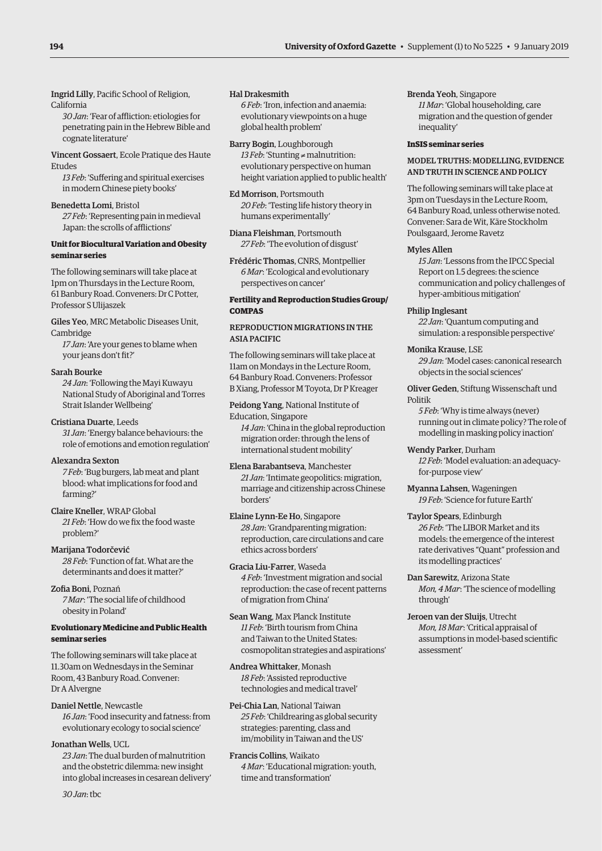Ingrid Lilly, Pacific School of Religion, California

*30 Jan*: 'Fear of affliction: etiologies for penetrating pain in the Hebrew Bible and cognate literature'

Vincent Gossaert, Ecole Pratique des Haute Etudes

*13 Feb*: 'Suffering and spiritual exercises in modern Chinese piety books'

Benedetta Lomi, Bristol *27 Feb*: 'Representing pain in medieval

Japan: the scrolls of afflictions'

# **Unit for Biocultural Variation and Obesity seminar series**

The following seminars will take place at 1pm on Thursdays in the Lecture Room, 61 Banbury Road. Conveners: Dr C Potter, Professor S Ulijaszek

Giles Yeo, MRC Metabolic Diseases Unit, Cambridge

*17 Jan*: 'Are your genes to blame when your jeans don't fit?'

# Sarah Bourke

farming?'

*24 Jan*: 'Following the Mayi Kuwayu National Study of Aboriginal and Torres Strait Islander Wellbeing'

Cristiana Duarte, Leeds *31 Jan*: 'Energy balance behaviours: the role of emotions and emotion regulation'

Alexandra Sexton *7 Feb*: 'Bug burgers, lab meat and plant blood: what implications for food and

Claire Kneller, WRAP Global *21 Feb*: 'How do we fix the food waste problem?'

Marijana Todorčević *28 Feb*: 'Function of fat. What are the determinants and does it matter?'

Zofia Boni, Poznań *7 Mar*: 'The social life of childhood obesity in Poland'

# **Evolutionary Medicine and Public Health seminar series**

The following seminars will take place at 11.30am on Wednesdays in the Seminar Room, 43 Banbury Road. Convener: Dr A Alvergne

Daniel Nettle, Newcastle *16 Jan*: 'Food insecurity and fatness: from evolutionary ecology to social science'

# Jonathan Wells, UCL

*23 Jan*: The dual burden of malnutrition and the obstetric dilemma: new insight into global increases in cesarean delivery'

*30 Jan*: tbc

# Hal Drakesmith

*6 Feb*: 'Iron, infection and anaemia: evolutionary viewpoints on a huge global health problem'

Barry Bogin, Loughborough *13 Feb*: 'Stunting ≠ malnutrition: evolutionary perspective on human height variation applied to public health'

Ed Morrison, Portsmouth *20 Feb*: 'Testing life history theory in humans experimentally'

Diana Fleishman, Portsmouth *27 Feb*: 'The evolution of disgust'

Frédéric Thomas, CNRS, Montpellier *6 Mar*: 'Ecological and evolutionary perspectives on cancer'

# **Fertility and Reproduction Studies Group/ COMPAS**

# REPRODUCTION MIGRATIONS IN THE ASIA PACIFIC

The following seminars will take place at 11am on Mondays in the Lecture Room, 64 Banbury Road. Conveners: Professor B Xiang, Professor M Toyota, Dr P Kreager

Peidong Yang, National Institute of Education, Singapore *14 Jan*: 'China in the global reproduction migration order: through the lens of international student mobility'

Elena Barabantseva, Manchester *21 Jan*: 'Intimate geopolitics: migration, marriage and citizenship across Chinese borders'

Elaine Lynn-Ee Ho, Singapore *28 Jan*: 'Grandparenting migration: reproduction, care circulations and care ethics across borders'

Gracia Liu-Farrer, Waseda *4 Feb*: 'Investment migration and social reproduction: the case of recent patterns of migration from China'

Sean Wang, Max Planck Institute *11 Feb*: 'Birth tourism from China and Taiwan to the United States: cosmopolitan strategies and aspirations'

Andrea Whittaker, Monash *18 Feb*: 'Assisted reproductive technologies and medical travel'

Pei-Chia Lan, National Taiwan *25 Feb*: 'Childrearing as global security strategies: parenting, class and im/mobility in Taiwan and the US'

Francis Collins, Waikato *4 Mar*: 'Educational migration: youth, time and transformation'

# Brenda Yeoh, Singapore

*11 Mar*: 'Global householding, care migration and the question of gender inequality'

# **InSIS seminar series**

# MODEL TRUTHS: MODELLING, EVIDENCE AND TRUTH IN SCIENCE AND POLICY

The following seminars will take place at 3pm on Tuesdays in the Lecture Room, 64 Banbury Road, unless otherwise noted. Convener: Sara de Wit, Käre Stockholm Poulsgaard, Jerome Ravetz

# Myles Allen

*15 Jan*: 'Lessons from the IPCC Special Report on 1.5 degrees: the science communication and policy challenges of hyper-ambitious mitigation'

# Philip Inglesant

*22 Jan*: 'Quantum computing and simulation: a responsible perspective'

Monika Krause, LSE

*29 Jan*: 'Model cases: canonical research objects in the social sciences'

# Oliver Geden, Stiftung Wissenschaft und Politik

*5 Feb*: 'Why is time always (never) running out in climate policy? The role of modelling in masking policy inaction'

Wendy Parker, Durham *12 Feb*: 'Model evaluation: an adequacyfor-purpose view'

Myanna Lahsen, Wageningen *19 Feb*: 'Science for future Earth'

- Taylor Spears, Edinburgh *26 Feb*: 'The LIBOR Market and its models: the emergence of the interest rate derivatives "Quant" profession and its modelling practices'
- Dan Sarewitz, Arizona State *Mon, 4 Mar*: 'The science of modelling through'
- Jeroen van der Sluijs, Utrecht *Mon, 18 Mar*: 'Critical appraisal of assumptions in model-based scientific assessment'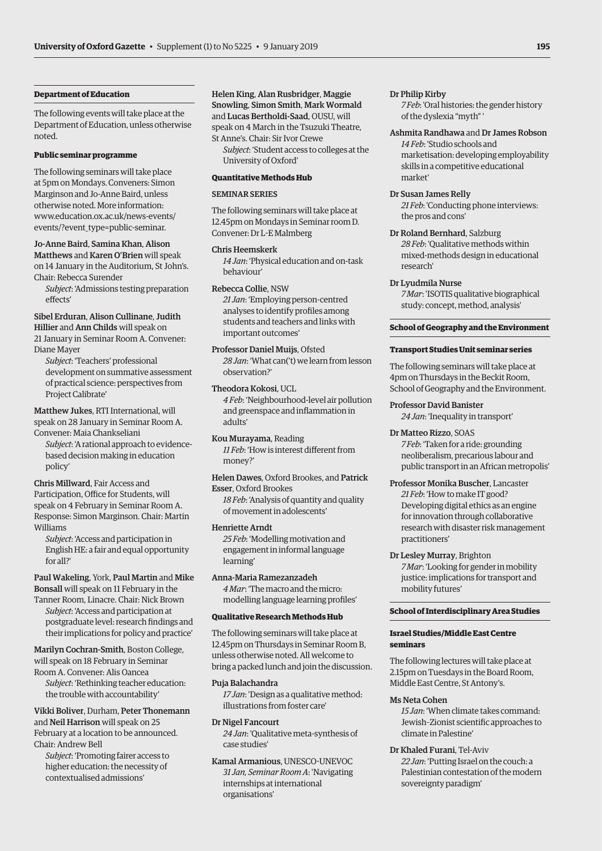# **Department of Education**

The following events will take place at the Department of Education, unless otherwise noted.

# **Public seminar programme**

The following seminars will take place at 5pm on Mondays. Conveners: Simon Marginson and Jo-Anne Baird, unless otherwise noted. More information: [www.education.ox.ac.uk/news-events/](www.education.ox.ac.uk/news-events/events/?event_type=public-seminar) events/?event\_type=public-seminar.

Jo-Anne Baird, Samina Khan, Alison Matthews and Karen O'Brien will speak on 14 January in the Auditorium, St John's. Chair: Rebecca Surender

*Subject*: 'Admissions testing preparation effects'

Sibel Erduran, Alison Cullinane, Judith Hillier and Ann Childs will speak on 21 January in Seminar Room A. Convener: Diane Mayer

*Subject*: 'Teachers' professional development on summative assessment of practical science: perspectives from Project Calibrate'

Matthew Jukes, RTI International, will speak on 28 January in Seminar Room A.

Convener: Maia Chankseliani *Subject*: 'A rational approach to evidencebased decision making in education policy'

Chris Millward, Fair Access and Participation, Office for Students, will speak on 4 February in Seminar Room A. Response: Simon Marginson. Chair: Martin Williams

*Subject*: 'Access and participation in English HE: a fair and equal opportunity for all?'

Paul Wakeling, York, Paul Martin and Mike Bonsall will speak on 11 February in the

Tanner Room, Linacre. Chair: Nick Brown *Subject*: 'Access and participation at postgraduate level: research findings and their implications for policy and practice'

Marilyn Cochran-Smith, Boston College, will speak on 18 February in Seminar Room A. Convener: Alis Oancea *Subject*: 'Rethinking teacher education:

the trouble with accountability' Vikki Boliver, Durham, Peter Thonemann and Neil Harrison will speak on 25 February at a location to be announced.

Chair: Andrew Bell *Subject*: 'Promoting fairer access to

higher education: the necessity of contextualised admissions'

Helen King, Alan Rusbridger, Maggie Snowling, Simon Smith, Mark Wormald and Lucas Bertholdi-Saad, OUSU, will speak on 4 March in the Tsuzuki Theatre, St Anne's. Chair: Sir Ivor Crewe

*Subject*: 'Student access to colleges at the University of Oxford'

# **Quantitative Methods Hub**

# SEMINAR SERIES

The following seminars will take place at 12.45pm on Mondays in Seminar room D. Convener: Dr L-E Malmberg

# Chris Heemskerk

*14 Jan*: 'Physical education and on-task behaviour'

# Rebecca Collie, NSW

*21 Jan*: 'Employing person-centred analyses to identify profiles among students and teachers and links with important outcomes'

# Professor Daniel Muijs, Ofsted

*28 Jan*: 'What can('t) we learn from lesson observation?'

# Theodora Kokosi, UCL

*4 Feb*: 'Neighbourhood-level air pollution and greenspace and inflammation in adults'

### Kou Murayama, Reading

*11 Feb*: 'How is interest different from money?'

Helen Dawes, Oxford Brookes, and Patrick Esser, Oxford Brookes

*18 Feb*: 'Analysis of quantity and quality of movement in adolescents'

# Henriette Arndt

*25 Feb*: 'Modelling motivation and engagement in informal language learning'

# Anna-Maria Ramezanzadeh

*4 Mar*: 'The macro and the micro: modelling language learning profiles'

# **Qualitative Research Methods Hub**

The following seminars will take place at 12.45pm on Thursdays in Seminar Room B, unless otherwise noted. All welcome to bring a packed lunch and join the discussion.

# Puja Balachandra

*17 Jan*: 'Design as a qualitative method: illustrations from foster care'

# Dr Nigel Fancourt

*24 Jan*: 'Qualitative meta-synthesis of case studies'

Kamal Armanious, UNESCO-UNEVOC *31 Jan, Seminar Room A*: 'Navigating internships at international organisations'

# Dr Philip Kirby

*7 Feb*: 'Oral histories: the gender history of the dyslexia "myth" '

# Ashmita Randhawa and Dr James Robson

*14 Feb*: 'Studio schools and marketisation: developing employability skills in a competitive educational market'

# Dr Susan James Relly

*21 Feb*: 'Conducting phone interviews: the pros and cons'

Dr Roland Bernhard, Salzburg

*28 Feb*: 'Qualitative methods within mixed-methods design in educational research'

# Dr Lyudmila Nurse

*7 Mar*: 'ISOTIS qualitative biographical study: concept, method, analysis'

# **School of Geography and the Environment**

# **Transport Studies Unit seminar series**

The following seminars will take place at 4pm on Thursdays in the Beckit Room, School of Geography and the Environment.

# Professor David Banister

*24 Jan*: 'Inequality in transport'

# Dr Matteo Rizzo, SOAS

*7 Feb*: 'Taken for a ride: grounding neoliberalism, precarious labour and public transport in an African metropolis'

# Professor Monika Buscher, Lancaster *21 Feb*: 'How to make IT good?

Developing digital ethics as an engine for innovation through collaborative research with disaster risk management practitioners'

# Dr Lesley Murray, Brighton

*7 Mar*: 'Looking for gender in mobility justice: implications for transport and mobility futures'

# **School of Interdisciplinary Area Studies**

# **Israel Studies/Middle East Centre seminars**

The following lectures will take place at 2.15pm on Tuesdays in the Board Room, Middle East Centre, St Antony's.

# Ms Neta Cohen

*15 Jan*: 'When climate takes command: Jewish–Zionist scientific approaches to climate in Palestine'

### Dr Khaled Furani, Tel-Aviv

*22 Jan*: 'Putting Israel on the couch: a Palestinian contestation of the modern sovereignty paradigm'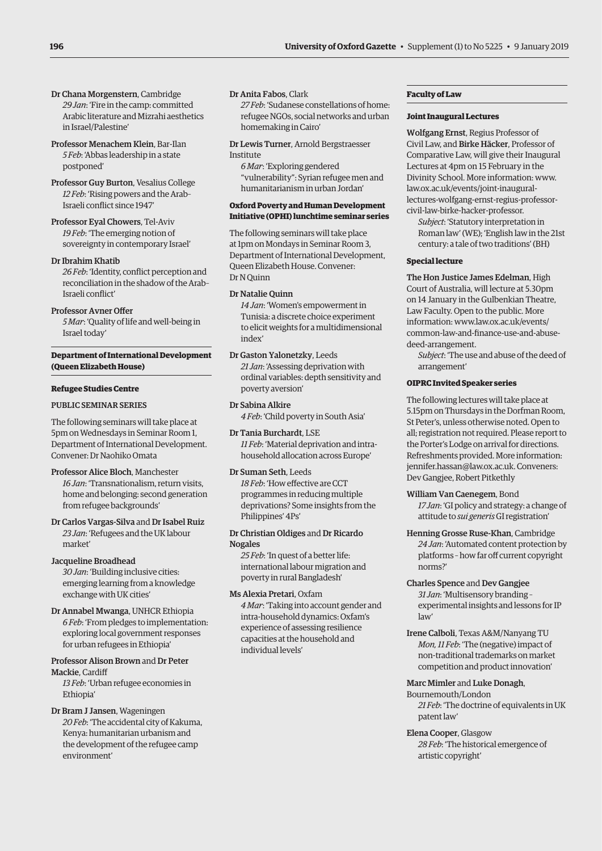- Dr Chana Morgenstern, Cambridge *29 Jan*: 'Fire in the camp: committed Arabic literature and Mizrahi aesthetics in Israel/Palestine'
- Professor Menachem Klein, Bar-Ilan *5 Feb*: 'Abbas leadership in a state postponed'
- Professor Guy Burton, Vesalius College *12 Feb*: 'Rising powers and the Arab– Israeli conflict since 1947'
- Professor Eyal Chowers, Tel-Aviv *19 Feb*: 'The emerging notion of sovereignty in contemporary Israel'

# Dr Ibrahim Khatib

*26 Feb*: 'Identity, conflict perception and reconciliation in the shadow of the Arab– Israeli conflict'

# Professor Avner Offer

*5 Mar*: 'Quality of life and well-being in Israel today'

# **Department of International Development (Queen Elizabeth House)**

# **Refugee Studies Centre**

# PUBLIC SEMINAR SERIES

The following seminars will take place at 5pm on Wednesdays in Seminar Room 1, Department of International Development. Convener: Dr Naohiko Omata

- Professor Alice Bloch, Manchester *16 Jan*: 'Transnationalism, return visits, home and belonging: second generation from refugee backgrounds'
- Dr Carlos Vargas-Silva and Dr Isabel Ruiz *23 Jan*: 'Refugees and the UK labour market'

# Jacqueline Broadhead

*30 Jan*: 'Building inclusive cities: emerging learning from a knowledge exchange with UK cities'

Dr Annabel Mwanga, UNHCR Ethiopia *6 Feb*: 'From pledges to implementation: exploring local government responses for urban refugees in Ethiopia'

# Professor Alison Brown and Dr Peter Mackie, Cardiff

*13 Feb*: 'Urban refugee economies in Ethiopia'

# Dr Bram J Jansen, Wageningen *20 Feb*: 'The accidental city of Kakuma,

Kenya: humanitarian urbanism and the development of the refugee camp environment'

# Dr Anita Fabos, Clark

*27 Feb*: 'Sudanese constellations of home: refugee NGOs, social networks and urban homemaking in Cairo'

Dr Lewis Turner, Arnold Bergstraesser Institute

*6 Mar*: 'Exploring gendered "vulnerability": Syrian refugee men and humanitarianism in urban Jordan'

# **Oxford Poverty and Human Development Initiative (OPHI) lunchtime seminar series**

The following seminars will take place at 1pm on Mondays in Seminar Room 3, Department of International Development, Queen Elizabeth House. Convener: Dr N Quinn

# Dr Natalie Quinn

*14 Jan*: 'Women's empowerment in Tunisia: a discrete choice experiment to elicit weights for a multidimensional index'

Dr Gaston Yalonetzky, Leeds *21 Jan*: 'Assessing deprivation with ordinal variables: depth sensitivity and poverty aversion'

# Dr Sabina Alkire

*4 Feb*: 'Child poverty in South Asia'

Dr Tania Burchardt, LSE *11 Feb*: 'Material deprivation and intrahousehold allocation across Europe'

# Dr Suman Seth, Leeds

*18 Feb*: 'How effective are CCT programmes in reducing multiple deprivations? Some insights from the Philippines' 4Ps'

Dr Christian Oldiges and Dr Ricardo Nogales

*25 Feb*: 'In quest of a better life: international labour migration and poverty in rural Bangladesh'

# Ms Alexia Pretari, Oxfam

*4 Mar*: 'Taking into account gender and intra-household dynamics: Oxfam's experience of assessing resilience capacities at the household and individual levels'

# **Faculty of Law**

# **Joint Inaugural Lectures**

Wolfgang Ernst, Regius Professor of Civil Law, and Birke Häcker, Professor of Comparative Law, will give their Inaugural Lectures at 4pm on 15 February in the Divinity School. More information: www. law.ox.ac.uk/events/joint-inaugural[lectures-wolfgang-ernst-regius-professor](www.law.ox.ac.uk/events/joint-inaugural-lectures-wolfgang-ernst-regius-professor-civil-law-birke-hacker-professor)civil-law-birke-hacker-professor.

*Subject*: 'Statutory interpretation in Roman law' (WE); 'English law in the 21st century: a tale of two traditions' (BH)

# **Special lecture**

The Hon Justice James Edelman, High Court of Australia, will lecture at 5.30pm on 14 January in the Gulbenkian Theatre, Law Faculty. Open to the public. More information: www.law.ox.ac.uk/events/ [common-law-and-finance-use-and-abuse](www.law.ox.ac.uk/events/common-law-and-finance-use-and-abuse-deed-arrangement)deed-arrangement.

*Subject*: 'The use and abuse of the deed of arrangement'

# **OIPRC Invited Speaker series**

The following lectures will take place at 5.15pm on Thursdays in the Dorfman Room, St Peter's, unless otherwise noted. Open to all; registration not required. Please report to the Porter's Lodge on arrival for directions. Refreshments provided. More information: [jennifer.hassan@law.ox.ac.uk. Co](mailto:jennifer.hassan@law.ox.ac.uk)nveners: Dev Gangjee, Robert Pitkethly

# William Van Caenegem, Bond

*17 Jan*: 'GI policy and strategy: a change of attitude to *sui generis* GI registration'

# Henning Grosse Ruse-Khan, Cambridge

*24 Jan*: 'Automated content protection by platforms – how far off current copyright norms?'

# Charles Spence and Dev Gangjee

*31 Jan*: 'Multisensory branding – experimental insights and lessons for IP law'

Irene Calboli, Texas A&M/Nanyang TU *Mon, 11 Feb*: 'The (negative) impact of non-traditional trademarks on market competition and product innovation'

# Marc Mimler and Luke Donagh,

Bournemouth/London *21 Feb*: 'The doctrine of equivalents in UK patent law'

# Elena Cooper, Glasgow

*28 Feb*: 'The historical emergence of artistic copyright'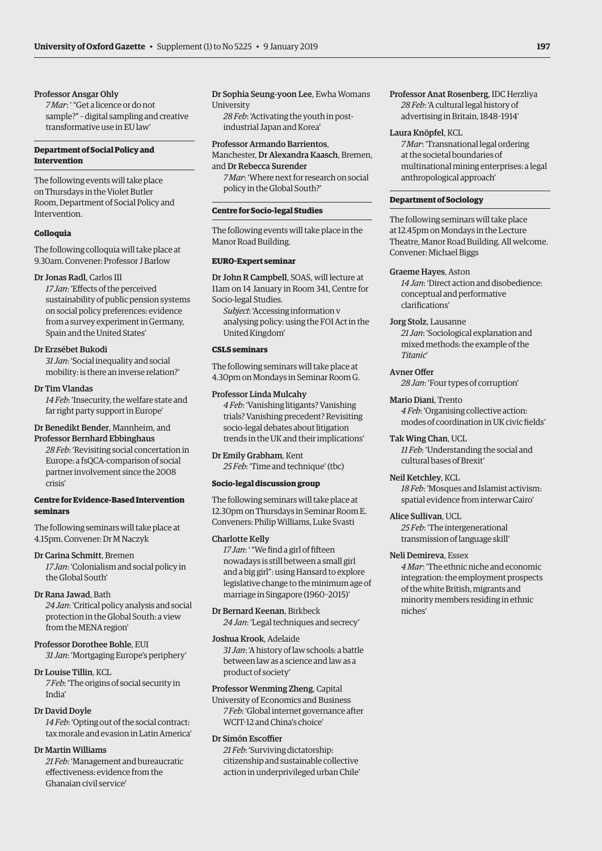# Professor Ansgar Ohly

*7 Mar*: ' "Get a licence or do not sample?" – digital sampling and creative transformative use in EU law'

# **Department of Social Policy and Intervention**

The following events will take place on Thursdays in the Violet Butler Room, Department of Social Policy and Intervention.

# **Colloquia**

The following colloquia will take place at 9.30am. Convener: Professor J Barlow

# Dr Jonas Radl, Carlos III

*17 Jan*: 'Effects of the perceived sustainability of public pension systems on social policy preferences: evidence from a survey experiment in Germany, Spain and the United States'

# Dr Erzsébet Bukodi

*31 Jan*: 'Social inequality and social mobility: is there an inverse relation?'

# Dr Tim Vlandas

*14 Feb*: 'Insecurity, the welfare state and far right party support in Europe'

# Dr Benedikt Bender, Mannheim, and

Professor Bernhard Ebbinghaus *28 Feb*: 'Revisiting social concertation in Europe: a fsQCA-comparison of social partner involvement since the 2008 crisis'

# **Centre for Evidence-Based Intervention seminars**

The following seminars will take place at 4.15pm. Convener: Dr M Naczyk

# Dr Carina Schmitt, Bremen

*17 Jan*: 'Colonialism and social policy in the Global South'

# Dr Rana Jawad, Bath

*24 Jan*: 'Critical policy analysis and social protection in the Global South: a view from the MENA region'

# Professor Dorothee Bohle, EUI

*31 Jan*: 'Mortgaging Europe's periphery'

# Dr Louise Tillin, KCL

*7 Feb*: 'The origins of social security in India'

# Dr David Doyle

*14 Feb*: 'Opting out of the social contract: tax morale and evasion in Latin America'

# Dr Martin Williams

*21 Feb*: 'Management and bureaucratic effectiveness: evidence from the Ghanaian civil service'

# Dr Sophia Seung-yoon Lee, Ewha Womans **University**

*28 Feb*: 'Activating the youth in postindustrial Japan and Korea'

# Professor Armando Barrientos,

Manchester, Dr Alexandra Kaasch, Bremen, and Dr Rebecca Surender

*7 Mar*: 'Where next for research on social policy in the Global South?'

# **Centre for Socio-legal Studies**

The following events will take place in the Manor Road Building.

# **EURO-Expert seminar**

Dr John R Campbell, SOAS, will lecture at 11am on 14 January in Room 341, Centre for Socio-legal Studies.

*Subject*: 'Accessing information v analysing policy: using the FOI Act in the United Kingdom'

# **CSLS seminars**

The following seminars will take place at 4.30pm on Mondays in Seminar Room G.

# Professor Linda Mulcahy

*4 Feb*: 'Vanishing litigants? Vanishing trials? Vanishing precedent? Revisiting socio-legal debates about litigation trends in the UK and their implications'

# Dr Emily Grabham, Kent

*25 Feb*: 'Time and technique' (tbc)

# **Socio-legal discussion group**

The following seminars will take place at 12.30pm on Thursdays in Seminar Room E. Conveners: Philip Williams, Luke Svasti

# Charlotte Kelly

*17 Jan*: ' "We find a girl of fifteen nowadays is still between a small girl and a big girl": using Hansard to explore legislative change to the minimum age of marriage in Singapore (1960–2015)'

Dr Bernard Keenan, Birkbeck *24 Jan*: 'Legal techniques and secrecy'

# Joshua Krook, Adelaide

*31 Jan*: 'A history of law schools: a battle between law as a science and law as a product of society'

# Professor Wenming Zheng, Capital

University of Economics and Business *7 Feb*: 'Global internet governance after WCIT-12 and China's choice'

# Dr Simón Escoffier

*21 Feb*: 'Surviving dictatorship: citizenship and sustainable collective action in underprivileged urban Chile' Professor Anat Rosenberg, IDC Herzliya *28 Feb*: 'A cultural legal history of advertising in Britain, 1848–1914'

# Laura Knöpfel, KCL

*7 Mar*: 'Transnational legal ordering at the societal boundaries of multinational mining enterprises: a legal anthropological approach'

# **Department of Sociology**

The following seminars will take place at 12.45pm on Mondays in the Lecture Theatre, Manor Road Building. All welcome. Convener: Michael Biggs

# Graeme Hayes, Aston

*14 Jan*: 'Direct action and disobedience: conceptual and performative clarifications'

# Jorg Stolz, Lausanne

*21 Jan*: 'Sociological explanation and mixed methods: the example of the *Titanic*'

# Avner Offer

*28 Jan*: 'Four types of corruption'

Mario Diani, Trento *4 Feb*: 'Organising collective action: modes of coordination in UK civic fields'

# Tak Wing Chan, UCL

*11 Feb*: 'Understanding the social and cultural bases of Brexit'

# Neil Ketchley, KCL

*18 Feb*: 'Mosques and Islamist activism: spatial evidence from interwar Cairo'

# Alice Sullivan, UCL

*25 Feb*: 'The intergenerational transmission of language skill'

# Neli Demireva, Essex

*4 Mar*: 'The ethnic niche and economic integration: the employment prospects of the white British, migrants and minority members residing in ethnic niches'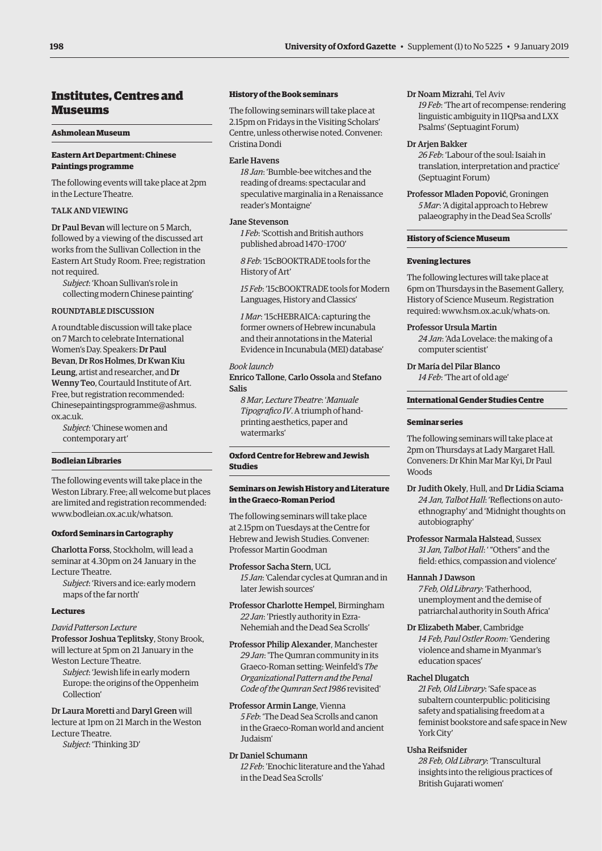# <span id="page-13-0"></span>Institutes, Centres and Museums

# **Ashmolean Museum**

# **Eastern Art Department: Chinese Paintings programme**

The following events will take place at 2pm in the Lecture Theatre.

# TALK AND VIEWING

Dr Paul Bevan will lecture on 5 March, followed by a viewing of the discussed art works from the Sullivan Collection in the Eastern Art Study Room. Free; registration not required.

*Subject*: 'Khoan Sullivan's role in collecting modern Chinese painting'

# ROUNDTABLE DISCUSSION

A roundtable discussion will take place on 7 March to celebrate International Women's Day. Speakers: Dr Paul Bevan, Dr Ros Holmes, Dr Kwan Kiu Leung, artist and researcher, and Dr Wenny Teo, Courtauld Institute of Art. Free, but registration recommended: Chinesepaintingsprogramme@ashmus. ox.ac.uk.

*Subject*: 'Chinese women and contemporary art'

# **Bodleian Libraries**

The following events will take place in the Weston Library. Free; all welcome but places are limited and registration recommended: [www.bodleian.ox.ac.uk/whatson.](http://www.bodleian.ox.ac.uk/whatson)

# **Oxford Seminars in Cartography**

Charlotta Forss, Stockholm, will lead a seminar at 4.30pm on 24 January in the Lecture Theatre.

*Subject*: 'Rivers and ice: early modern maps of the far north'

# **Lectures**

# *David Patterson Lecture*

Professor Joshua Teplitsky, Stony Brook, will lecture at 5pm on 21 January in the Weston Lecture Theatre.

*Subject*: 'Jewish life in early modern Europe: the origins of the Oppenheim Collection'

Dr Laura Moretti and Daryl Green will lecture at 1pm on 21 March in the Weston Lecture Theatre.

*Subject*: 'Thinking 3D'

# **History of the Book seminars**

The following seminars will take place at 2.15pm on Fridays in the Visiting Scholars' Centre, unless otherwise noted. Convener: Cristina Dondi

# Earle Havens

*18 Jan*: 'Bumble-bee witches and the reading of dreams: spectacular and speculative marginalia in a Renaissance reader's Montaigne'

# Jane Stevenson

*1 Feb*: 'Scottish and British authors published abroad 1470–1700'

*8 Feb*: '15cBOOKTRADE tools for the History of Art'

*15 Feb*: '15cBOOKTRADE tools for Modern Languages, History and Classics'

*1 Mar*: '15cHEBRAICA: capturing the former owners of Hebrew incunabula and their annotations in the Material Evidence in Incunabula (MEI) database'

# *Book launch*

Enrico Tallone, Carlo Ossola and Stefano Salis

*8 Mar, Lecture Theatre*: '*Manuale Tipografico IV*. A triumph of handprinting aesthetics, paper and watermarks'

# **Oxford Centre for Hebrew and Jewish Studies**

# **Seminars on Jewish History and Literature in the Graeco-Roman Period**

The following seminars will take place at 2.15pm on Tuesdays at the Centre for Hebrew and Jewish Studies. Convener: Professor Martin Goodman

Professor Sacha Stern, UCL *15 Jan*: 'Calendar cycles at Qumran and in later Jewish sources'

Professor Charlotte Hempel, Birmingham *22 Jan*: 'Priestly authority in Ezra-Nehemiah and the Dead Sea Scrolls'

Professor Philip Alexander, Manchester *29 Jan*: 'The Qumran community in its Graeco-Roman setting: Weinfeld's *The Organizational Pattern and the Penal Code of the Qumran Sect 1986* revisited'

Professor Armin Lange, Vienna *5 Feb*: 'The Dead Sea Scrolls and canon in the Graeco-Roman world and ancient Judaism'

# Dr Daniel Schumann

*12 Feb*: 'Enochic literature and the Yahad in the Dead Sea Scrolls'

Dr Noam Mizrahi, Tel Aviv *19 Feb*: 'The art of recompense: rendering linguistic ambiguity in 11QPsa and LXX Psalms' (Septuagint Forum)

### Dr Arjen Bakker

*26 Feb*: 'Labour of the soul: Isaiah in translation, interpretation and practice' (Septuagint Forum)

Professor Mladen Popović, Groningen *5 Mar*: 'A digital approach to Hebrew palaeography in the Dead Sea Scrolls'

# **History of Science Museum**

# **Evening lectures**

The following lectures will take place at 6pm on Thursdays in the Basement Gallery, History of Science Museum. Registration required: [www.hsm.ox.ac.uk/whats-on.](http://www.hsm.ox.ac.uk/whats-on)

# Professor Ursula Martin

*24 Jan*: 'Ada Lovelace: the making of a computer scientist'

Dr María del Pilar Blanco *14 Feb*: 'The art of old age'

### **International Gender Studies Centre**

# **Seminar series**

The following seminars will take place at 2pm on Thursdays at Lady Margaret Hall. Conveners: Dr Khin Mar Mar Kyi, Dr Paul **Woods** 

- Dr Judith Okely, Hull, and Dr Lidia Sciama *24 Jan, Talbot Hall*: 'Reflections on autoethnography' and 'Midnight thoughts on autobiography'
- Professor Narmala Halstead, Sussex *31 Jan, Talbot Hall*: ' "Others" and the field: ethics, compassion and violence'

# Hannah J Dawson

*7 Feb, Old Library*: 'Fatherhood, unemployment and the demise of patriarchal authority in South Africa'

Dr Elizabeth Maber, Cambridge *14 Feb, Paul Ostler Room*: 'Gendering violence and shame in Myanmar's education spaces'

# Rachel Dlugatch

*21 Feb, Old Library*: 'Safe space as subaltern counterpublic: politicising safety and spatialising freedom at a feminist bookstore and safe space in New York City'

# Usha Reifsnider

*28 Feb, Old Library*: 'Transcultural insights into the religious practices of British Gujarati women'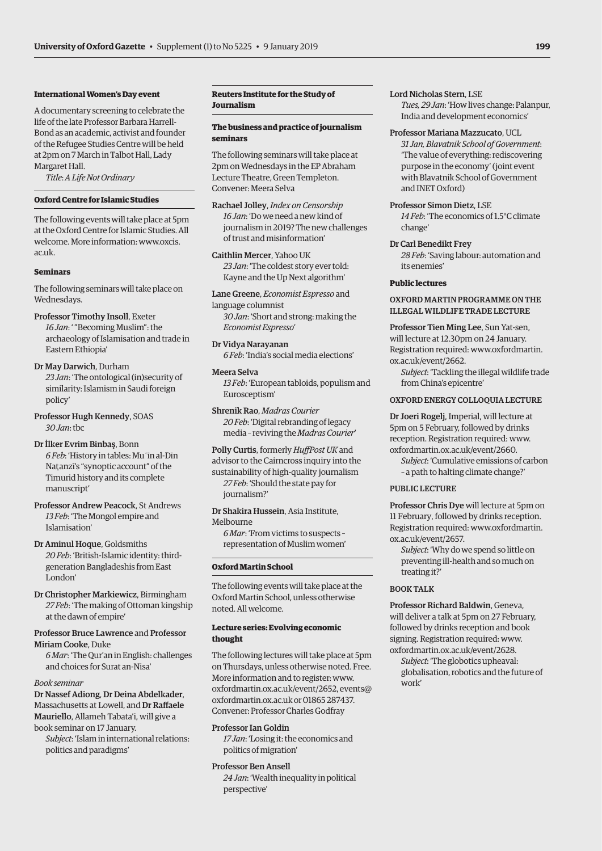# **International Women's Day event**

A documentary screening to celebrate the life of the late Professor Barbara Harrell-Bond as an academic, activist and founder of the Refugee Studies Centre will be held at 2pm on 7 March in Talbot Hall, Lady Margaret Hall.

*Title*: *A Life Not Ordinary*

# **Oxford Centre for Islamic Studies**

The following events will take place at 5pm at the Oxford Centre for Islamic Studies. All [welcome. More information: www.oxcis.](www.oxcis.ac.uk) ac.uk.

### **Seminars**

The following seminars will take place on Wednesdays.

# Professor Timothy Insoll, Exeter *16 Jan*: ' "Becoming Muslim": the archaeology of Islamisation and trade in Eastern Ethiopia'

Dr May Darwich, Durham *23 Jan*: 'The ontological (in)security of similarity: Islamism in Saudi foreign policy'

- Professor Hugh Kennedy, SOAS *30 Jan*: tbc
- Dr İlker Evrim Binbaş, Bonn *6 Feb*: 'History in tables: Muʿīn al-Dīn Nat.anzī's "synoptic account" of the Timurid history and its complete manuscript'
- Professor Andrew Peacock, St Andrews *13 Feb*: 'The Mongol empire and Islamisation'
- Dr Aminul Hoque, Goldsmiths *20 Feb*: 'British-Islamic identity: thirdgeneration Bangladeshis from East London'
- Dr Christopher Markiewicz, Birmingham *27 Feb*: 'The making of Ottoman kingship at the dawn of empire'

# Professor Bruce Lawrence and Professor Miriam Cooke, Duke

*6 Mar*: 'The Qur'an in English: challenges and choices for Surat an-Nisa'

# *Book seminar*

Dr Nassef Adiong, Dr Deina Abdelkader, Massachusetts at Lowell, and Dr Raffaele Mauriello, Allameh Tabata'i, will give a book seminar on 17 January.

*Subject*: 'Islam in international relations: politics and paradigms'

# **Reuters Institute for the Study of Journalism**

# **The business and practice of journalism seminars**

The following seminars will take place at 2pm on Wednesdays in the EP Abraham Lecture Theatre, Green Templeton. Convener: Meera Selva

Rachael Jolley, *Index on Censorship 16 Jan*: 'Do we need a new kind of journalism in 2019? The new challenges of trust and misinformation'

Caithlin Mercer, Yahoo UK *23 Jan*: 'The coldest story ever told: Kayne and the Up Next algorithm'

Lane Greene, *Economist Espresso* and language columnist *30 Jan*: 'Short and strong: making the *Economist Espresso*'

Dr Vidya Narayanan *6 Feb*: 'India's social media elections'

# Meera Selva *13 Feb*: 'European tabloids, populism and Eurosceptism'

Shrenik Rao, *Madras Courier 20 Feb*: 'Digital rebranding of legacy media – reviving the *Madras Courier*'

Polly Curtis, formerly *HuffPost UK* and advisor to the Cairncross inquiry into the sustainability of high-quality journalism *27 Feb*: 'Should the state pay for journalism?'

Dr Shakira Hussein, Asia Institute, Melbourne

*6 Mar*: 'From victims to suspects – representation of Muslim women'

# **Oxford Martin School**

The following events will take place at the Oxford Martin School, unless otherwise noted. All welcome.

# **Lecture series: Evolving economic thought**

The following lectures will take place at 5pm on Thursdays, unless otherwise noted. Free. More information and to register: [www.](http://www.oxfordmartin.ox.ac.uk/event/2652) [oxfordmartin.ox.ac.uk/event/2652,](http://www.oxfordmartin.ox.ac.uk/event/2652) [events@](mailto:events@oxfordmartin.ox.ac.uk) [oxfordmartin.ox.ac.uk or](mailto:events@oxfordmartin.ox.ac.uk) 01865 287437. Convener: Professor Charles Godfray

# Professor Ian Goldin

*17 Jan*: 'Losing it: the economics and politics of migration'

# Professor Ben Ansell

*24 Jan*: 'Wealth inequality in political perspective'

# Lord Nicholas Stern, LSE

*Tues, 29 Jan*: 'How lives change: Palanpur, India and development economics'

# Professor Mariana Mazzucato, UCL

*31 Jan, Blavatnik School of Government*: 'The value of everything: rediscovering purpose in the economy' (joint event with Blavatnik School of Government and INET Oxford)

# Professor Simon Dietz, LSE

*14 Feb*: 'The economics of 1.5°C climate change'

# Dr Carl Benedikt Frey

*28 Feb*: 'Saving labour: automation and its enemies'

# **Public lectures**

# OXFORD MARTIN PROGRAMME ON THE ILLEGAL WILDLIFE TRADE LECTURE

Professor Tien Ming Lee, Sun Yat-sen, will lecture at 12.30pm on 24 January. [Registration required: www.oxfordmartin.](www.oxfordmartin.ox.ac.uk/event/2662) ox.ac.uk/event/2662.

*Subject*: 'Tackling the illegal wildlife trade from China's epicentre'

# OXFORD ENERGY COLLOQUIA LECTURE

Dr Joeri Rogelj, Imperial, will lecture at 5pm on 5 February, followed by drinks reception. Registration required: [www.](http://www.oxfordmartin.ox.ac.uk/event/2660) [oxfordmartin.ox.ac.uk/event/2660.](http://www.oxfordmartin.ox.ac.uk/event/2660) 

*Subject*: 'Cumulative emissions of carbon – a path to halting climate change?'

# PUBLIC LECTURE

Professor Chris Dye will lecture at 5pm on 11 February, followed by drinks reception. [Registration required: www.oxfordmartin.](www.oxfordmartin.ox.ac.uk/event/2657) ox.ac.uk/event/2657.

*Subject*: 'Why do we spend so little on preventing ill-health and so much on treating it?'

# BOOK TALK

Professor Richard Baldwin, Geneva, will deliver a talk at 5pm on 27 February, followed by drinks reception and book signing. Registration required: [www.](http://www.oxfordmartin.ox.ac.uk/event/2628) [oxfordmartin.ox.ac.uk/event/2628.](http://www.oxfordmartin.ox.ac.uk/event/2628) 

*Subject*: 'The globotics upheaval: globalisation, robotics and the future of work'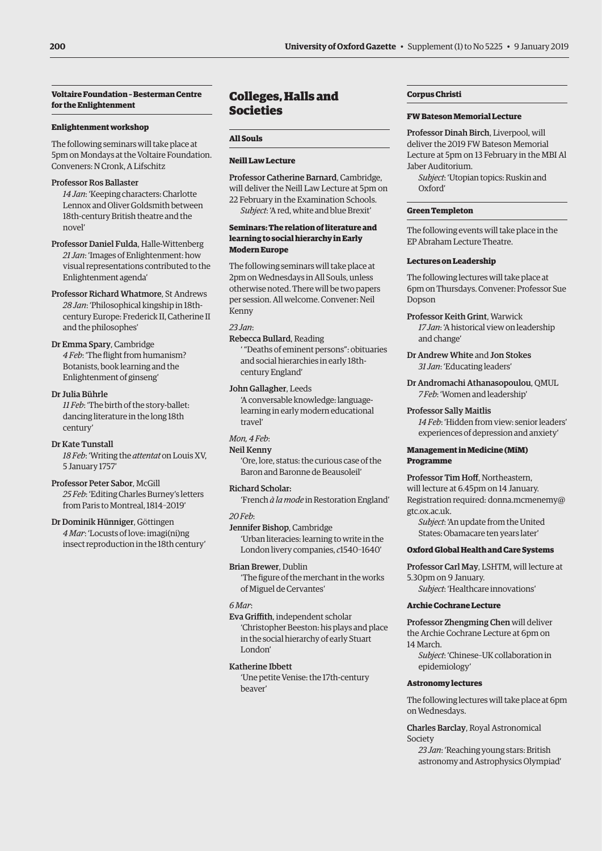# <span id="page-15-0"></span>**Voltaire Foundation – Besterman Centre for the Enlightenment**

# **Enlightenment workshop**

The following seminars will take place at 5pm on Mondays at the Voltaire Foundation. Conveners: N Cronk, A Lifschitz

# Professor Ros Ballaster

*14 Jan*: 'Keeping characters: Charlotte Lennox and Oliver Goldsmith between 18th-century British theatre and the novel'

Professor Daniel Fulda, Halle-Wittenberg *21 Jan*: 'Images of Enlightenment: how visual representations contributed to the Enlightenment agenda'

Professor Richard Whatmore, St Andrews *28 Jan*: 'Philosophical kingship in 18thcentury Europe: Frederick II, Catherine II and the philosophes'

# Dr Emma Spary, Cambridge *4 Feb*: 'The flight from humanism? Botanists, book learning and the Enlightenment of ginseng'

# Dr Julia Bührle

*11 Feb*: 'The birth of the story-ballet: dancing literature in the long 18th century'

Dr Kate Tunstall *18 Feb*: 'Writing the *attentat* on Louis XV, 5 January 1757'

Professor Peter Sabor, McGill *25 Feb*: 'Editing Charles Burney's letters from Paris to Montreal, 1814–2019'

Dr Dominik Hünniger, Göttingen *4 Mar*: 'Locusts of love: imagi(ni)ng insect reproduction in the 18th century'

# Colleges, Halls and Societies

# **All Souls**

# **Neill Law Lecture**

Professor Catherine Barnard, Cambridge, will deliver the Neill Law Lecture at 5pm on 22 February in the Examination Schools. *Subject*: 'A red, white and blue Brexit'

# **Seminars: The relation of literature and learning to social hierarchy in Early Modern Europe**

The following seminars will take place at 2pm on Wednesdays in All Souls, unless otherwise noted. There will be two papers per session. All welcome. Convener: Neil Kenny

# *23 Jan*:

Rebecca Bullard, Reading

' "Deaths of eminent persons": obituaries and social hierarchies in early 18thcentury England'

# John Gallagher, Leeds

'A conversable knowledge: languagelearning in early modern educational travel'

# *Mon, 4 Feb*:

# Neil Kenny

'Ore, lore, status: the curious case of the Baron and Baronne de Beausoleil'

# Richard Scholar:

'French *à la mode* in Restoration England'

*20 Feb*:

Jennifer Bishop, Cambridge 'Urban literacies: learning to write in the London livery companies, *c*1540–1640'

Brian Brewer, Dublin 'The figure of the merchant in the works of Miguel de Cervantes'

# *6 Mar*:

Eva Griffith, independent scholar 'Christopher Beeston: his plays and place in the social hierarchy of early Stuart London'

# Katherine Ibbett

'Une petite Venise: the 17th-century beaver'

# **Corpus Christi**

# **FW Bateson Memorial Lecture**

Professor Dinah Birch, Liverpool, will deliver the 2019 FW Bateson Memorial Lecture at 5pm on 13 February in the MBI Al Jaber Auditorium.

*Subject*: 'Utopian topics: Ruskin and Oxford'

# **Green Templeton**

The following events will take place in the EP Abraham Lecture Theatre.

# **Lectures on Leadership**

The following lectures will take place at 6pm on Thursdays. Convener: Professor Sue Dopson

- Professor Keith Grint, Warwick *17 Jan*: 'A historical view on leadership and change'
- Dr Andrew White and Jon Stokes *31 Jan*: 'Educating leaders'
- Dr Andromachi Athanasopoulou, QMUL *7 Feb*: 'Women and leadership'

# Professor Sally Maitlis

*14 Feb*: 'Hidden from view: senior leaders' experiences of depression and anxiety'

# **Management in Medicine (MiM) Programme**

Professor Tim Hoff, Northeastern, will lecture at 6.45pm on 14 January. [Registration required: donna.mcmenemy@](mailto:donna.mcmenemy@gtc.ox.ac.uk) gtc.ox.ac.uk.

*Subject*: 'An update from the United States: Obamacare ten years later'

# **Oxford Global Health and Care Systems**

Professor Carl May, LSHTM, will lecture at 5.30pm on 9 January.

*Subject*: 'Healthcare innovations'

# **Archie Cochrane Lecture**

Professor Zhengming Chen will deliver the Archie Cochrane Lecture at 6pm on 14 March.

*Subject*: 'Chinese–UK collaboration in epidemiology'

# **Astronomy lectures**

The following lectures will take place at 6pm on Wednesdays.

Charles Barclay, Royal Astronomical Society

*23 Jan*: 'Reaching young stars: British astronomy and Astrophysics Olympiad'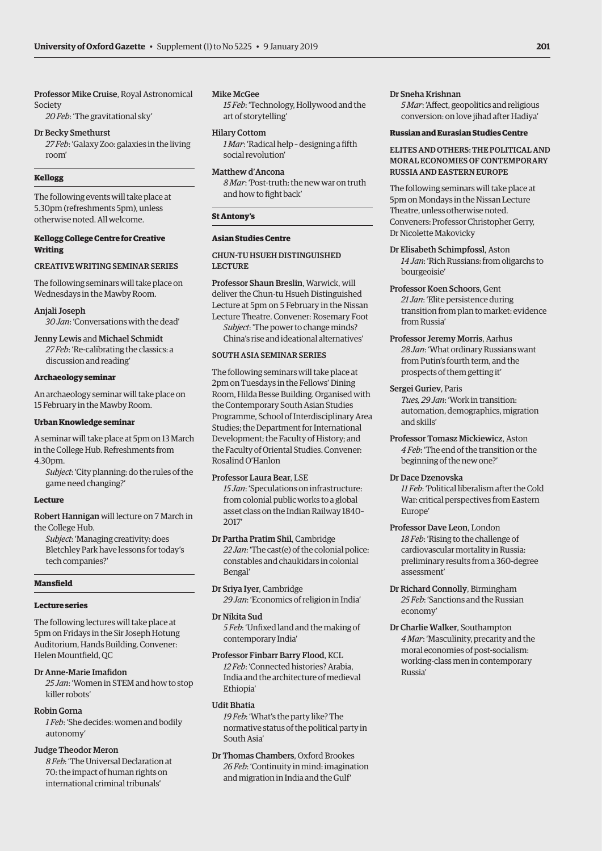Professor Mike Cruise, Royal Astronomical Society

*20 Feb*: 'The gravitational sky'

# Dr Becky Smethurst

*27 Feb*: 'Galaxy Zoo: galaxies in the living room'

# **Kellogg**

The following events will take place at 5.30pm (refreshments 5pm), unless otherwise noted. All welcome.

# **Kellogg College Centre for Creative Writing**

# CREATIVE WRITING SEMINAR SERIES

The following seminars will take place on Wednesdays in the Mawby Room.

Anjali Joseph

*30 Jan*: 'Conversations with the dead'

# Jenny Lewis and Michael Schmidt

*27 Feb*: 'Re-calibrating the classics: a discussion and reading'

# **Archaeology seminar**

An archaeology seminar will take place on 15 February in the Mawby Room.

# **Urban Knowledge seminar**

A seminar will take place at 5pm on 13 March in the College Hub. Refreshments from 4.30pm.

*Subject*: 'City planning: do the rules of the game need changing?'

### **Lecture**

Robert Hannigan will lecture on 7 March in the College Hub.

*Subject*: 'Managing creativity: does Bletchley Park have lessons for today's tech companies?'

### **Mansfield**

# **Lecture series**

The following lectures will take place at 5pm on Fridays in the Sir Joseph Hotung Auditorium, Hands Building. Convener: Helen Mountfield, QC

# Dr Anne-Marie Imafidon

*25 Jan*: 'Women in STEM and how to stop killer robots'

# Robin Gorna

*1 Feb*: 'She decides: women and bodily autonomy'

# Judge Theodor Meron

*8 Feb*: 'The Universal Declaration at 70: the impact of human rights on international criminal tribunals'

# Mike McGee

*15 Feb*: 'Technology, Hollywood and the art of storytelling'

Hilary Cottom

*1 Mar*: 'Radical help – designing a fifth social revolution'

# Matthew d'Ancona

*8 Mar*: 'Post-truth: the new war on truth and how to fight back'

# **St Antony's**

# **Asian Studies Centre**

# CHUN-TU HSUEH DISTINGUISHED LECTURE

Professor Shaun Breslin, Warwick, will deliver the Chun-tu Hsueh Distinguished Lecture at 5pm on 5 February in the Nissan Lecture Theatre. Convener: Rosemary Foot *Subject*: 'The power to change minds? China's rise and ideational alternatives'

# SOUTH ASIA SEMINAR SERIES

The following seminars will take place at 2pm on Tuesdays in the Fellows' Dining Room, Hilda Besse Building. Organised with the Contemporary South Asian Studies Programme, School of Interdisciplinary Area Studies; the Department for International Development; the Faculty of History; and the Faculty of Oriental Studies. Convener: Rosalind O'Hanlon

# Professor Laura Bear, LSE

*15 Jan*: 'Speculations on infrastructure: from colonial public works to a global asset class on the Indian Railway 1840– 2017'

Dr Partha Pratim Shil, Cambridge *22 Jan*: 'The cast(e) of the colonial police: constables and chaukidars in colonial Bengal'

Dr Sriya Iyer, Cambridge *29 Jan*: 'Economics of religion in India'

Dr Nikita Sud

*5 Feb*: 'Unfixed land and the making of contemporary India'

# Professor Finbarr Barry Flood, KCL

*12 Feb*: 'Connected histories? Arabia, India and the architecture of medieval Ethiopia'

# Udit Bhatia

*19 Feb*: 'What's the party like? The normative status of the political party in South Asia'

Dr Thomas Chambers, Oxford Brookes *26 Feb*: 'Continuity in mind: imagination and migration in India and the Gulf'

# Dr Sneha Krishnan

*5 Mar*: 'Affect, geopolitics and religious conversion: on love jihad after Hadiya'

# **Russian and Eurasian Studies Centre**

# ELITES AND OTHERS: THE POLITICAL AND MORAL ECONOMIES OF CONTEMPORARY RUSSIA AND EASTERN EUROPE

The following seminars will take place at 5pm on Mondays in the Nissan Lecture Theatre, unless otherwise noted. Conveners: Professor Christopher Gerry, Dr Nicolette Makovicky

Dr Elisabeth Schimpfossl, Aston *14 Jan*: 'Rich Russians: from oligarchs to bourgeoisie'

- Professor Koen Schoors, Gent *21 Jan*: 'Elite persistence during transition from plan to market: evidence from Russia'
- Professor Jeremy Morris, Aarhus *28 Jan*: 'What ordinary Russians want from Putin's fourth term, and the prospects of them getting it'

# Sergei Guriev, Paris

*Tues, 29 Jan*: 'Work in transition: automation, demographics, migration and skills'

Professor Tomasz Mickiewicz, Aston *4 Feb*: 'The end of the transition or the beginning of the new one?'

# Dr Dace Dzenovska

*11 Feb*: 'Political liberalism after the Cold War: critical perspectives from Eastern Europe'

# Professor Dave Leon, London *18 Feb*: 'Rising to the challenge of cardiovascular mortality in Russia: preliminary results from a 360-degree assessment'

- Dr Richard Connolly, Birmingham *25 Feb*: 'Sanctions and the Russian economy'
- Dr Charlie Walker, Southampton *4 Mar*: 'Masculinity, precarity and the moral economies of post-socialism: working-class men in contemporary Russia'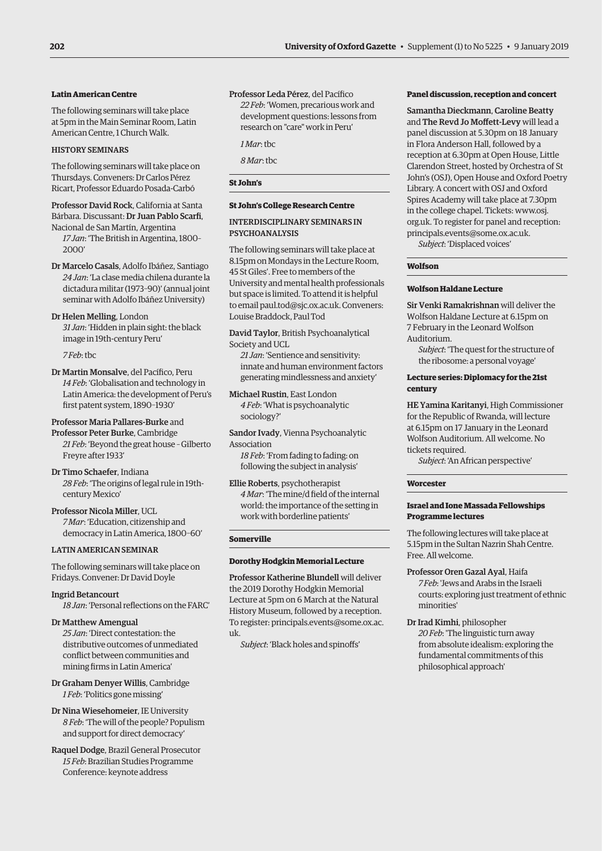# **Latin American Centre**

The following seminars will take place at 5pm in the Main Seminar Room, Latin American Centre, 1 Church Walk.

# HISTORY SEMINARS

The following seminars will take place on Thursdays. Conveners: Dr Carlos Pérez Ricart, Professor Eduardo Posada-Carbó

Professor David Rock, California at Santa Bárbara. Discussant: Dr Juan Pablo Scarfi, Nacional de San Martín, Argentina

*17 Jan*: 'The British in Argentina, 1800– 2000'

Dr Marcelo Casals, Adolfo Ibáñez, Santiago *24 Jan*: 'La clase media chilena durante la dictadura militar (1973–90)' (annual joint seminar with Adolfo Ibáñez University)

Dr Helen Melling, London *31 Jan*: 'Hidden in plain sight: the black image in 19th-century Peru'

*7 Feb*: tbc

Dr Martin Monsalve, del Pacífico, Peru *14 Feb*: 'Globalisation and technology in Latin America: the development of Peru's first patent system, 1890–1930'

Professor Maria Pallares-Burke and

Professor Peter Burke, Cambridge *21 Feb*: 'Beyond the great house – Gilberto Freyre after 1933'

Dr Timo Schaefer, Indiana *28 Feb*: 'The origins of legal rule in 19thcentury Mexico'

Professor Nicola Miller, UCL *7 Mar*: 'Education, citizenship and democracy in Latin America, 1800–60'

# LATIN AMERICAN SEMINAR

The following seminars will take place on Fridays. Convener: Dr David Doyle

Ingrid Betancourt *18 Jan*: 'Personal reflections on the FARC'

Dr Matthew Amengual

*25 Jan*: 'Direct contestation: the distributive outcomes of unmediated conflict between communities and mining firms in Latin America'

Dr Graham Denyer Willis, Cambridge *1 Feb*: 'Politics gone missing'

Dr Nina Wiesehomeier, IE University *8 Feb*: 'The will of the people? Populism and support for direct democracy'

Raquel Dodge, Brazil General Prosecutor *15 Feb*: Brazilian Studies Programme Conference: keynote address

Professor Leda Pérez, del Pacífico *22 Feb*: 'Women, precarious work and development questions: lessons from research on "care" work in Peru'

*1 Mar*: tbc

*8 Mar*: tbc

# **St John's**

# **St John's College Research Centre**

# INTERDISCIPLINARY SEMINARS IN PSYCHOANALYSIS

The following seminars will take place at 8.15pm on Mondays in the Lecture Room, 45 St Giles'. Free to members of the University and mental health professionals but space is limited. To attend it is helpful to email [paul.tod@sjc.ox.ac.uk. Co](mailto:paul.tod@sjc.ox.ac.uk)nveners: Louise Braddock, Paul Tod

David Taylor, British Psychoanalytical Society and UCL

*21 Jan*: 'Sentience and sensitivity: innate and human environment factors generating mindlessness and anxiety'

Michael Rustin, East London *4 Feb*: 'What is psychoanalytic sociology?'

Sandor Ivady, Vienna Psychoanalytic Association

*18 Feb*: 'From fading to fading: on following the subject in analysis'

Ellie Roberts, psychotherapist *4 Mar*: 'The mine/d field of the internal world: the importance of the setting in work with borderline patients'

# **Somerville**

# **Dorothy Hodgkin Memorial Lecture**

Professor Katherine Blundell will deliver the 2019 Dorothy Hodgkin Memorial Lecture at 5pm on 6 March at the Natural History Museum, followed by a reception. [To register: principals.events@some.ox.ac.](mailto:principals.events@some.ox.ac.uk) uk.

*Subject*: 'Black holes and spinoffs'

# **Panel discussion, reception and concert**

Samantha Dieckmann, Caroline Beatty and The Revd Jo Moffett-Levy will lead a panel discussion at 5.30pm on 18 January in Flora Anderson Hall, followed by a reception at 6.30pm at Open House, Little Clarendon Street, hosted by Orchestra of St John's (OSJ), Open House and Oxford Poetry Library. A concert with OSJ and Oxford Spires Academy will take place at 7.30pm [in the college chapel. Tickets: www.osj.](www.osj.org.uk) org.uk. To register for panel and reception: [principals.events@some.ox.ac.uk.](mailto:principals.events@some.ox.ac.uk)

*Subject*: 'Displaced voices'

# **Wolfson**

# **Wolfson Haldane Lecture**

Sir Venki Ramakrishnan will deliver the Wolfson Haldane Lecture at 6.15pm on 7 February in the Leonard Wolfson Auditorium.

*Subject*: 'The quest for the structure of the ribosome: a personal voyage'

# **Lecture series: Diplomacy for the 21st century**

HE Yamina Karitanyi, High Commissioner for the Republic of Rwanda, will lecture at 6.15pm on 17 January in the Leonard Wolfson Auditorium. All welcome. No tickets required.

*Subject*: 'An African perspective'

# **Worcester**

# **Israel and Ione Massada Fellowships Programme lectures**

The following lectures will take place at 5.15pm in the Sultan Nazrin Shah Centre. Free. All welcome.

Professor Oren Gazal Ayal, Haifa *7 Feb*: 'Jews and Arabs in the Israeli courts: exploring just treatment of ethnic minorities'

Dr Irad Kimhi, philosopher *20 Feb*: 'The linguistic turn away from absolute idealism: exploring the fundamental commitments of this philosophical approach'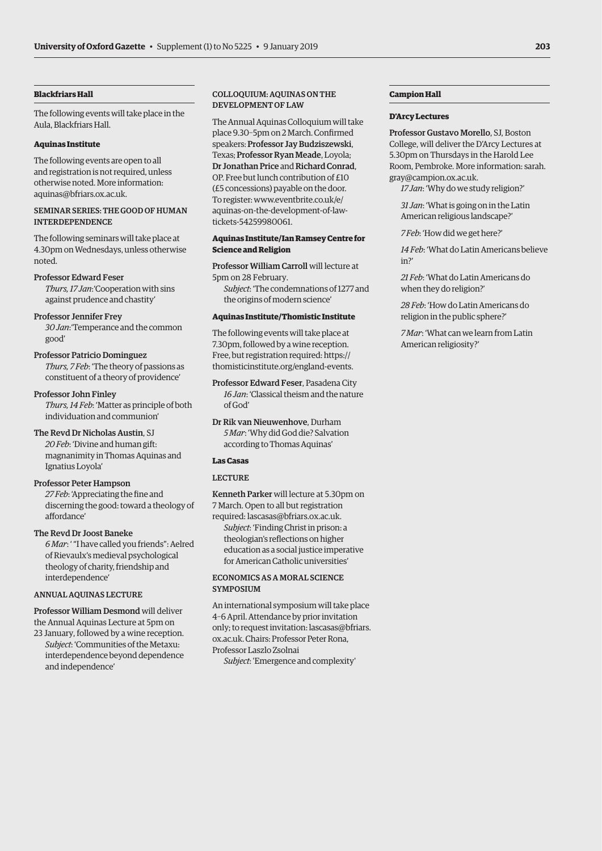# **Blackfriars Hall**

The following events will take place in the Aula, Blackfriars Hall.

# **Aquinas Institute**

The following events are open to all and registration is not required, unless otherwise noted. More information: [aquinas@bfriars.ox.ac.uk.](mailto:aquinas@bfriars.ox.ac.uk)

# SEMINAR SERIES: THE GOOD OF HUMAN INTERDEPENDENCE

The following seminars will take place at 4.30pm on Wednesdays, unless otherwise noted.

# Professor Edward Feser

*Thurs, 17 Jan*:'Cooperation with sins against prudence and chastity'

# Professor Jennifer Frey

*30 Jan*:'Temperance and the common good'

# Professor Patricio Dominguez

*Thurs, 7 Feb*: 'The theory of passions as constituent of a theory of providence'

# Professor John Finley

*Thurs, 14 Feb*: 'Matter as principle of both individuation and communion'

# The Revd Dr Nicholas Austin, SJ *20 Feb*: 'Divine and human gift: magnanimity in Thomas Aquinas and Ignatius Loyola'

# Professor Peter Hampson

*27 Feb*: 'Appreciating the fine and discerning the good: toward a theology of affordance'

# The Revd Dr Joost Baneke

*6 Mar*: ' "I have called you friends": Aelred of Rievaulx's medieval psychological theology of charity, friendship and interdependence'

# ANNUAL AQUINAS LECTURE

Professor William Desmond will deliver the Annual Aquinas Lecture at 5pm on

23 January, followed by a wine reception. *Subject*: 'Communities of the Metaxu: interdependence beyond dependence and independence'

# COLLOQUIUM: AQUINAS ON THE DEVELOPMENT OF LAW

The Annual Aquinas Colloquium will take place 9.30–5pm on 2 March. Confirmed speakers: Professor Jay Budziszewski, Texas; Professor Ryan Meade, Loyola; Dr Jonathan Price and Richard Conrad, OP. Free but lunch contribution of £10 (£5 concessions) payable on the door. To register: www.eventbrite.co.uk/e/ [aquinas-on-the-development-of-law](www.eventbrite.co.uk/e/aquinas-on-the-development-of-law-tickets-54259980061)tickets-54259980061.

# **Aquinas Institute/Ian Ramsey Centre for Science and Religion**

Professor William Carroll will lecture at 5pm on 28 February.

*Subject*: 'The condemnations of 1277 and the origins of modern science'

# **Aquinas Institute/Thomistic Institute**

The following events will take place at 7.30pm, followed by a wine reception. Free, but registration required: [https://](https://thomisticinstitute.org/england-events) [thomisticinstitute.org/england-events.](https://thomisticinstitute.org/england-events)

# Professor Edward Feser, Pasadena City *16 Jan*: 'Classical theism and the nature of God'

Dr Rik van Nieuwenhove, Durham *5 Mar*: 'Why did God die? Salvation according to Thomas Aquinas'

# **Las Casas**

# LECTURE

Kenneth Parker will lecture at 5.30pm on 7 March. Open to all but registration required: [lascasas@bfriars.ox.ac.uk.](mailto:lascasas@bfriars.ox.ac.uk) *Subject*: 'Finding Christ in prison: a theologian's reflections on higher education as a social justice imperative for American Catholic universities'

# ECONOMICS AS A MORAL SCIENCE **SYMPOSIUM**

An international symposium will take place 4–6 April. Attendance by prior invitation [only; to request invitation: lascasas@bfriars.](mailto:lascasas@bfriars.ox.ac.uk) ox.ac.uk. Chairs: Professor Peter Rona, Professor Laszlo Zsolnai

*Subject*: 'Emergence and complexity'

# **Campion Hall**

# **D'Arcy Lectures**

Professor Gustavo Morello, SJ, Boston College, will deliver the D'Arcy Lectures at 5.30pm on Thursdays in the Harold Lee [Room, Pembroke. More information: sarah.](mailto:sarah.gray@campion.ox.ac.uk) gray@campion.ox.ac.uk.

*17 Jan*: 'Why do we study religion?'

*31 Jan*: 'What is going on in the Latin American religious landscape?'

*7 Feb*: 'How did we get here?'

*14 Feb*: 'What do Latin Americans believe in?'

*21 Feb*: 'What do Latin Americans do when they do religion?'

*28 Feb*: 'How do Latin Americans do religion in the public sphere?'

*7 Mar*: 'What can we learn from Latin American religiosity?'